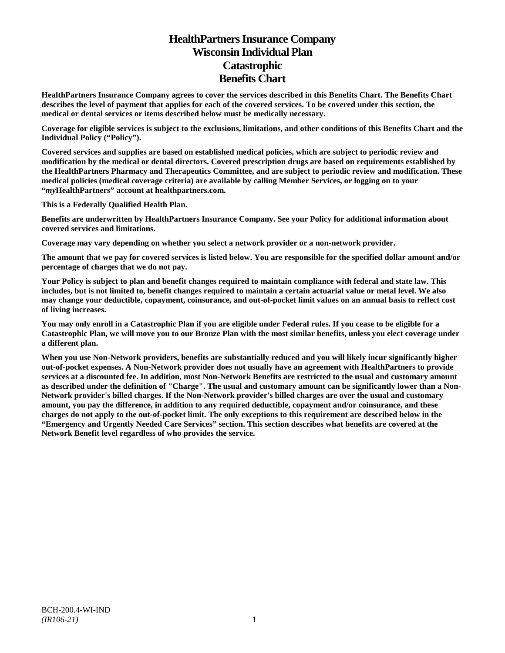# **HealthPartners Insurance Company Wisconsin Individual Plan Catastrophic Benefits Chart**

**HealthPartners Insurance Company agrees to cover the services described in this Benefits Chart. The Benefits Chart describes the level of payment that applies for each of the covered services. To be covered under this section, the medical or dental services or items described below must be medically necessary.**

**Coverage for eligible services is subject to the exclusions, limitations, and other conditions of this Benefits Chart and the Individual Policy ("Policy").**

**Covered services and supplies are based on established medical policies, which are subject to periodic review and modification by the medical or dental directors. Covered prescription drugs are based on requirements established by the HealthPartners Pharmacy and Therapeutics Committee, and are subject to periodic review and modification. These medical policies (medical coverage criteria) are available by calling Member Services, or logging on to your "***my***HealthPartners" account at [healthpartners.com.](http://www.healthpartners.com/)**

**This is a Federally Qualified Health Plan.**

**Benefits are underwritten by HealthPartners Insurance Company. See your Policy for additional information about covered services and limitations.**

**Coverage may vary depending on whether you select a network provider or a non-network provider.**

**The amount that we pay for covered services is listed below. You are responsible for the specified dollar amount and/or percentage of charges that we do not pay.**

**Your Policy is subject to plan and benefit changes required to maintain compliance with federal and state law. This includes, but is not limited to, benefit changes required to maintain a certain actuarial value or metal level. We also may change your deductible, copayment, coinsurance, and out-of-pocket limit values on an annual basis to reflect cost of living increases.**

**You may only enroll in a Catastrophic Plan if you are eligible under Federal rules. If you cease to be eligible for a Catastrophic Plan, we will move you to our Bronze Plan with the most similar benefits, unless you elect coverage under a different plan.**

**When you use Non-Network providers, benefits are substantially reduced and you will likely incur significantly higher out-of-pocket expenses. A Non-Network provider does not usually have an agreement with HealthPartners to provide services at a discounted fee. In addition, most Non-Network Benefits are restricted to the usual and customary amount as described under the definition of "Charge". The usual and customary amount can be significantly lower than a Non-Network provider's billed charges. If the Non-Network provider's billed charges are over the usual and customary amount, you pay the difference, in addition to any required deductible, copayment and/or coinsurance, and these charges do not apply to the out-of-pocket limit. The only exceptions to this requirement are described below in the "Emergency and Urgently Needed Care Services" section. This section describes what benefits are covered at the Network Benefit level regardless of who provides the service.**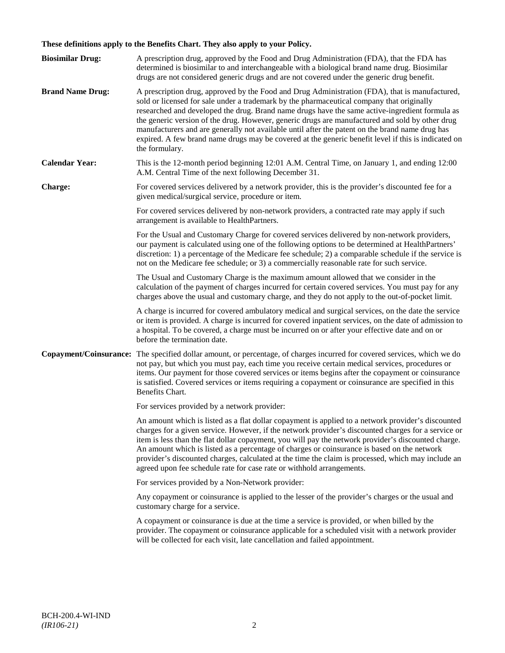# **These definitions apply to the Benefits Chart. They also apply to your Policy.**

| <b>Biosimilar Drug:</b> | A prescription drug, approved by the Food and Drug Administration (FDA), that the FDA has<br>determined is biosimilar to and interchangeable with a biological brand name drug. Biosimilar<br>drugs are not considered generic drugs and are not covered under the generic drug benefit.                                                                                                                                                                                                                                                                                                                                     |
|-------------------------|------------------------------------------------------------------------------------------------------------------------------------------------------------------------------------------------------------------------------------------------------------------------------------------------------------------------------------------------------------------------------------------------------------------------------------------------------------------------------------------------------------------------------------------------------------------------------------------------------------------------------|
| <b>Brand Name Drug:</b> | A prescription drug, approved by the Food and Drug Administration (FDA), that is manufactured,<br>sold or licensed for sale under a trademark by the pharmaceutical company that originally<br>researched and developed the drug. Brand name drugs have the same active-ingredient formula as<br>the generic version of the drug. However, generic drugs are manufactured and sold by other drug<br>manufacturers and are generally not available until after the patent on the brand name drug has<br>expired. A few brand name drugs may be covered at the generic benefit level if this is indicated on<br>the formulary. |
| <b>Calendar Year:</b>   | This is the 12-month period beginning 12:01 A.M. Central Time, on January 1, and ending 12:00<br>A.M. Central Time of the next following December 31.                                                                                                                                                                                                                                                                                                                                                                                                                                                                        |
| Charge:                 | For covered services delivered by a network provider, this is the provider's discounted fee for a<br>given medical/surgical service, procedure or item.                                                                                                                                                                                                                                                                                                                                                                                                                                                                      |
|                         | For covered services delivered by non-network providers, a contracted rate may apply if such<br>arrangement is available to HealthPartners.                                                                                                                                                                                                                                                                                                                                                                                                                                                                                  |
|                         | For the Usual and Customary Charge for covered services delivered by non-network providers,<br>our payment is calculated using one of the following options to be determined at HealthPartners'<br>discretion: 1) a percentage of the Medicare fee schedule; 2) a comparable schedule if the service is<br>not on the Medicare fee schedule; or 3) a commercially reasonable rate for such service.                                                                                                                                                                                                                          |
|                         | The Usual and Customary Charge is the maximum amount allowed that we consider in the<br>calculation of the payment of charges incurred for certain covered services. You must pay for any<br>charges above the usual and customary charge, and they do not apply to the out-of-pocket limit.                                                                                                                                                                                                                                                                                                                                 |
|                         | A charge is incurred for covered ambulatory medical and surgical services, on the date the service<br>or item is provided. A charge is incurred for covered inpatient services, on the date of admission to<br>a hospital. To be covered, a charge must be incurred on or after your effective date and on or<br>before the termination date.                                                                                                                                                                                                                                                                                |
| Copayment/Coinsurance:  | The specified dollar amount, or percentage, of charges incurred for covered services, which we do<br>not pay, but which you must pay, each time you receive certain medical services, procedures or<br>items. Our payment for those covered services or items begins after the copayment or coinsurance<br>is satisfied. Covered services or items requiring a copayment or coinsurance are specified in this<br>Benefits Chart.                                                                                                                                                                                             |
|                         | For services provided by a network provider:                                                                                                                                                                                                                                                                                                                                                                                                                                                                                                                                                                                 |
|                         | An amount which is listed as a flat dollar copayment is applied to a network provider's discounted<br>charges for a given service. However, if the network provider's discounted charges for a service or<br>item is less than the flat dollar copayment, you will pay the network provider's discounted charge.<br>An amount which is listed as a percentage of charges or coinsurance is based on the network<br>provider's discounted charges, calculated at the time the claim is processed, which may include an<br>agreed upon fee schedule rate for case rate or withhold arrangements.                               |
|                         | For services provided by a Non-Network provider:                                                                                                                                                                                                                                                                                                                                                                                                                                                                                                                                                                             |
|                         | Any copayment or coinsurance is applied to the lesser of the provider's charges or the usual and<br>customary charge for a service.                                                                                                                                                                                                                                                                                                                                                                                                                                                                                          |
|                         | A copayment or coinsurance is due at the time a service is provided, or when billed by the<br>provider. The copayment or coinsurance applicable for a scheduled visit with a network provider<br>will be collected for each visit, late cancellation and failed appointment.                                                                                                                                                                                                                                                                                                                                                 |
|                         |                                                                                                                                                                                                                                                                                                                                                                                                                                                                                                                                                                                                                              |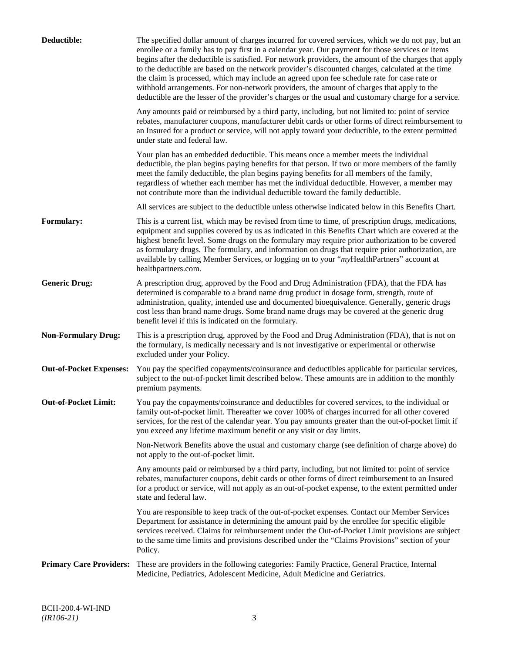| Deductible:                    | The specified dollar amount of charges incurred for covered services, which we do not pay, but an<br>enrollee or a family has to pay first in a calendar year. Our payment for those services or items<br>begins after the deductible is satisfied. For network providers, the amount of the charges that apply<br>to the deductible are based on the network provider's discounted charges, calculated at the time<br>the claim is processed, which may include an agreed upon fee schedule rate for case rate or<br>withhold arrangements. For non-network providers, the amount of charges that apply to the<br>deductible are the lesser of the provider's charges or the usual and customary charge for a service. |
|--------------------------------|-------------------------------------------------------------------------------------------------------------------------------------------------------------------------------------------------------------------------------------------------------------------------------------------------------------------------------------------------------------------------------------------------------------------------------------------------------------------------------------------------------------------------------------------------------------------------------------------------------------------------------------------------------------------------------------------------------------------------|
|                                | Any amounts paid or reimbursed by a third party, including, but not limited to: point of service<br>rebates, manufacturer coupons, manufacturer debit cards or other forms of direct reimbursement to<br>an Insured for a product or service, will not apply toward your deductible, to the extent permitted<br>under state and federal law.                                                                                                                                                                                                                                                                                                                                                                            |
|                                | Your plan has an embedded deductible. This means once a member meets the individual<br>deductible, the plan begins paying benefits for that person. If two or more members of the family<br>meet the family deductible, the plan begins paying benefits for all members of the family,<br>regardless of whether each member has met the individual deductible. However, a member may<br>not contribute more than the individual deductible toward the family deductible.                                                                                                                                                                                                                                                |
|                                | All services are subject to the deductible unless otherwise indicated below in this Benefits Chart.                                                                                                                                                                                                                                                                                                                                                                                                                                                                                                                                                                                                                     |
| <b>Formulary:</b>              | This is a current list, which may be revised from time to time, of prescription drugs, medications,<br>equipment and supplies covered by us as indicated in this Benefits Chart which are covered at the<br>highest benefit level. Some drugs on the formulary may require prior authorization to be covered<br>as formulary drugs. The formulary, and information on drugs that require prior authorization, are<br>available by calling Member Services, or logging on to your "myHealthPartners" account at<br>healthpartners.com.                                                                                                                                                                                   |
| <b>Generic Drug:</b>           | A prescription drug, approved by the Food and Drug Administration (FDA), that the FDA has<br>determined is comparable to a brand name drug product in dosage form, strength, route of<br>administration, quality, intended use and documented bioequivalence. Generally, generic drugs<br>cost less than brand name drugs. Some brand name drugs may be covered at the generic drug<br>benefit level if this is indicated on the formulary.                                                                                                                                                                                                                                                                             |
| <b>Non-Formulary Drug:</b>     | This is a prescription drug, approved by the Food and Drug Administration (FDA), that is not on<br>the formulary, is medically necessary and is not investigative or experimental or otherwise<br>excluded under your Policy.                                                                                                                                                                                                                                                                                                                                                                                                                                                                                           |
| <b>Out-of-Pocket Expenses:</b> | You pay the specified copayments/coinsurance and deductibles applicable for particular services,<br>subject to the out-of-pocket limit described below. These amounts are in addition to the monthly<br>premium payments.                                                                                                                                                                                                                                                                                                                                                                                                                                                                                               |
| <b>Out-of-Pocket Limit:</b>    | You pay the copayments/coinsurance and deductibles for covered services, to the individual or<br>family out-of-pocket limit. Thereafter we cover 100% of charges incurred for all other covered<br>services, for the rest of the calendar year. You pay amounts greater than the out-of-pocket limit if<br>you exceed any lifetime maximum benefit or any visit or day limits.                                                                                                                                                                                                                                                                                                                                          |
|                                | Non-Network Benefits above the usual and customary charge (see definition of charge above) do<br>not apply to the out-of-pocket limit.                                                                                                                                                                                                                                                                                                                                                                                                                                                                                                                                                                                  |
|                                | Any amounts paid or reimbursed by a third party, including, but not limited to: point of service<br>rebates, manufacturer coupons, debit cards or other forms of direct reimbursement to an Insured<br>for a product or service, will not apply as an out-of-pocket expense, to the extent permitted under<br>state and federal law.                                                                                                                                                                                                                                                                                                                                                                                    |
|                                | You are responsible to keep track of the out-of-pocket expenses. Contact our Member Services<br>Department for assistance in determining the amount paid by the enrollee for specific eligible<br>services received. Claims for reimbursement under the Out-of-Pocket Limit provisions are subject<br>to the same time limits and provisions described under the "Claims Provisions" section of your<br>Policy.                                                                                                                                                                                                                                                                                                         |
| <b>Primary Care Providers:</b> | These are providers in the following categories: Family Practice, General Practice, Internal<br>Medicine, Pediatrics, Adolescent Medicine, Adult Medicine and Geriatrics.                                                                                                                                                                                                                                                                                                                                                                                                                                                                                                                                               |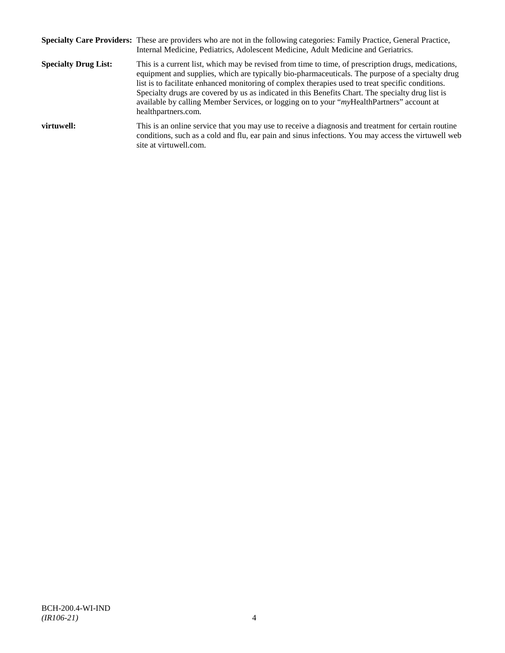|                             | Specialty Care Providers: These are providers who are not in the following categories: Family Practice, General Practice,<br>Internal Medicine, Pediatrics, Adolescent Medicine, Adult Medicine and Geriatrics.                                                                                                                                                                                                                                                                                                                       |
|-----------------------------|---------------------------------------------------------------------------------------------------------------------------------------------------------------------------------------------------------------------------------------------------------------------------------------------------------------------------------------------------------------------------------------------------------------------------------------------------------------------------------------------------------------------------------------|
| <b>Specialty Drug List:</b> | This is a current list, which may be revised from time to time, of prescription drugs, medications,<br>equipment and supplies, which are typically bio-pharmaceuticals. The purpose of a specialty drug<br>list is to facilitate enhanced monitoring of complex therapies used to treat specific conditions.<br>Specialty drugs are covered by us as indicated in this Benefits Chart. The specialty drug list is<br>available by calling Member Services, or logging on to your "myHealthPartners" account at<br>healthpartners.com. |
| virtuwell:                  | This is an online service that you may use to receive a diagnosis and treatment for certain routine<br>conditions, such as a cold and flu, ear pain and sinus infections. You may access the virtuwell web<br>site at virtuwell.com.                                                                                                                                                                                                                                                                                                  |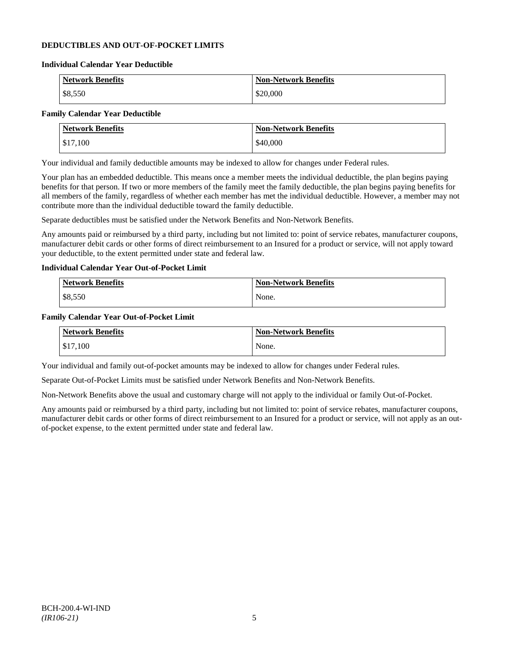## **DEDUCTIBLES AND OUT-OF-POCKET LIMITS**

#### **Individual Calendar Year Deductible**

| <b>Network Benefits</b> | <b>Non-Network Benefits</b> |
|-------------------------|-----------------------------|
| \$8,550                 | \$20,000                    |

## **Family Calendar Year Deductible**

| <b>Network Benefits</b> | <b>Non-Network Benefits</b> |
|-------------------------|-----------------------------|
| \$17,100                | \$40,000                    |

Your individual and family deductible amounts may be indexed to allow for changes under Federal rules.

Your plan has an embedded deductible. This means once a member meets the individual deductible, the plan begins paying benefits for that person. If two or more members of the family meet the family deductible, the plan begins paying benefits for all members of the family, regardless of whether each member has met the individual deductible. However, a member may not contribute more than the individual deductible toward the family deductible.

Separate deductibles must be satisfied under the Network Benefits and Non-Network Benefits.

Any amounts paid or reimbursed by a third party, including but not limited to: point of service rebates, manufacturer coupons, manufacturer debit cards or other forms of direct reimbursement to an Insured for a product or service, will not apply toward your deductible, to the extent permitted under state and federal law.

## **Individual Calendar Year Out-of-Pocket Limit**

| Network Benefits | <b>Non-Network Benefits</b> |
|------------------|-----------------------------|
| \$8,550          | None.                       |

### **Family Calendar Year Out-of-Pocket Limit**

| <b>Network Benefits</b> | <b>Non-Network Benefits</b> |
|-------------------------|-----------------------------|
| \$17,100                | None.                       |

Your individual and family out-of-pocket amounts may be indexed to allow for changes under Federal rules.

Separate Out-of-Pocket Limits must be satisfied under Network Benefits and Non-Network Benefits.

Non-Network Benefits above the usual and customary charge will not apply to the individual or family Out-of-Pocket.

Any amounts paid or reimbursed by a third party, including but not limited to: point of service rebates, manufacturer coupons, manufacturer debit cards or other forms of direct reimbursement to an Insured for a product or service, will not apply as an outof-pocket expense, to the extent permitted under state and federal law.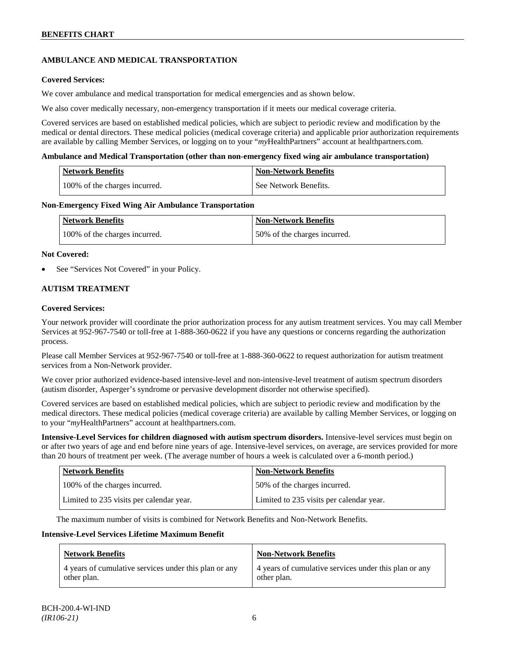## **AMBULANCE AND MEDICAL TRANSPORTATION**

## **Covered Services:**

We cover ambulance and medical transportation for medical emergencies and as shown below.

We also cover medically necessary, non-emergency transportation if it meets our medical coverage criteria.

Covered services are based on established medical policies, which are subject to periodic review and modification by the medical or dental directors. These medical policies (medical coverage criteria) and applicable prior authorization requirements are available by calling Member Services, or logging on to your "*my*HealthPartners" account at [healthpartners.com.](http://www.healthpartners.com/)

### **Ambulance and Medical Transportation (other than non-emergency fixed wing air ambulance transportation)**

| <b>Network Benefits</b>       | Non-Network Benefits    |
|-------------------------------|-------------------------|
| 100% of the charges incurred. | l See Network Benefits. |

### **Non-Emergency Fixed Wing Air Ambulance Transportation**

| <b>Network Benefits</b>       | <b>Non-Network Benefits</b>  |
|-------------------------------|------------------------------|
| 100% of the charges incurred. | 50% of the charges incurred. |

### **Not Covered:**

See "Services Not Covered" in your Policy.

## **AUTISM TREATMENT**

### **Covered Services:**

Your network provider will coordinate the prior authorization process for any autism treatment services. You may call Member Services at 952-967-7540 or toll-free at 1-888-360-0622 if you have any questions or concerns regarding the authorization process.

Please call Member Services at 952-967-7540 or toll-free at 1-888-360-0622 to request authorization for autism treatment services from a Non-Network provider.

We cover prior authorized evidence-based intensive-level and non-intensive-level treatment of autism spectrum disorders (autism disorder, Asperger's syndrome or pervasive development disorder not otherwise specified).

Covered services are based on established medical policies, which are subject to periodic review and modification by the medical directors. These medical policies (medical coverage criteria) are available by calling Member Services, or logging on to your "*my*HealthPartners" account at [healthpartners.com.](http://www.healthpartners.com/)

**Intensive-Level Services for children diagnosed with autism spectrum disorders.** Intensive-level services must begin on or after two years of age and end before nine years of age. Intensive-level services, on average, are services provided for more than 20 hours of treatment per week. (The average number of hours a week is calculated over a 6-month period.)

| <b>Network Benefits</b>                  | <b>Non-Network Benefits</b>              |
|------------------------------------------|------------------------------------------|
| 100% of the charges incurred.            | 50% of the charges incurred.             |
| Limited to 235 visits per calendar year. | Limited to 235 visits per calendar year. |

The maximum number of visits is combined for Network Benefits and Non-Network Benefits.

#### **Intensive-Level Services Lifetime Maximum Benefit**

| <b>Network Benefits</b>                               | <b>Non-Network Benefits</b>                           |
|-------------------------------------------------------|-------------------------------------------------------|
| 4 years of cumulative services under this plan or any | 4 years of cumulative services under this plan or any |
| other plan.                                           | other plan.                                           |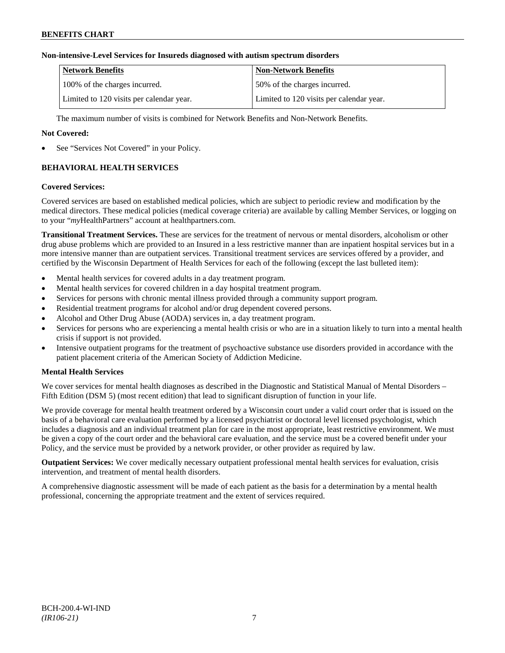## **Non-intensive-Level Services for Insureds diagnosed with autism spectrum disorders**

| Network Benefits                         | <b>Non-Network Benefits</b>              |
|------------------------------------------|------------------------------------------|
| 100% of the charges incurred.            | 50% of the charges incurred.             |
| Limited to 120 visits per calendar year. | Limited to 120 visits per calendar year. |

The maximum number of visits is combined for Network Benefits and Non-Network Benefits.

## **Not Covered:**

See "Services Not Covered" in your Policy.

## **BEHAVIORAL HEALTH SERVICES**

### **Covered Services:**

Covered services are based on established medical policies, which are subject to periodic review and modification by the medical directors. These medical policies (medical coverage criteria) are available by calling Member Services, or logging on to your "*my*HealthPartners" account at [healthpartners.com.](http://www.healthpartners.com/)

**Transitional Treatment Services.** These are services for the treatment of nervous or mental disorders, alcoholism or other drug abuse problems which are provided to an Insured in a less restrictive manner than are inpatient hospital services but in a more intensive manner than are outpatient services. Transitional treatment services are services offered by a provider, and certified by the Wisconsin Department of Health Services for each of the following (except the last bulleted item):

- Mental health services for covered adults in a day treatment program.
- Mental health services for covered children in a day hospital treatment program.
- Services for persons with chronic mental illness provided through a community support program.
- Residential treatment programs for alcohol and/or drug dependent covered persons.
- Alcohol and Other Drug Abuse (AODA) services in, a day treatment program.
- Services for persons who are experiencing a mental health crisis or who are in a situation likely to turn into a mental health crisis if support is not provided.
- Intensive outpatient programs for the treatment of psychoactive substance use disorders provided in accordance with the patient placement criteria of the American Society of Addiction Medicine.

## **Mental Health Services**

We cover services for mental health diagnoses as described in the Diagnostic and Statistical Manual of Mental Disorders – Fifth Edition (DSM 5) (most recent edition) that lead to significant disruption of function in your life.

We provide coverage for mental health treatment ordered by a Wisconsin court under a valid court order that is issued on the basis of a behavioral care evaluation performed by a licensed psychiatrist or doctoral level licensed psychologist, which includes a diagnosis and an individual treatment plan for care in the most appropriate, least restrictive environment. We must be given a copy of the court order and the behavioral care evaluation, and the service must be a covered benefit under your Policy, and the service must be provided by a network provider, or other provider as required by law.

**Outpatient Services:** We cover medically necessary outpatient professional mental health services for evaluation, crisis intervention, and treatment of mental health disorders.

A comprehensive diagnostic assessment will be made of each patient as the basis for a determination by a mental health professional, concerning the appropriate treatment and the extent of services required.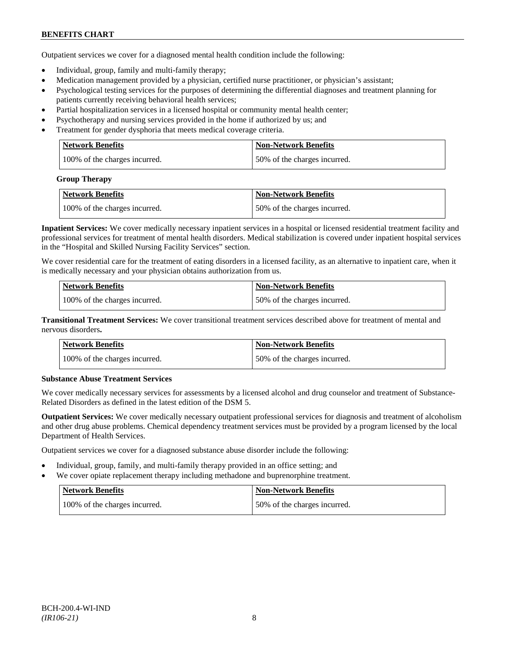Outpatient services we cover for a diagnosed mental health condition include the following:

- Individual, group, family and multi-family therapy;
- Medication management provided by a physician, certified nurse practitioner, or physician's assistant;
- Psychological testing services for the purposes of determining the differential diagnoses and treatment planning for patients currently receiving behavioral health services;
- Partial hospitalization services in a licensed hospital or community mental health center;
- Psychotherapy and nursing services provided in the home if authorized by us; and
- Treatment for gender dysphoria that meets medical coverage criteria.

| Network Benefits              | Non-Network Benefits         |
|-------------------------------|------------------------------|
| 100% of the charges incurred. | 50% of the charges incurred. |

#### **Group Therapy**

| Network Benefits              | <b>Non-Network Benefits</b>  |
|-------------------------------|------------------------------|
| 100% of the charges incurred. | 50% of the charges incurred. |

**Inpatient Services:** We cover medically necessary inpatient services in a hospital or licensed residential treatment facility and professional services for treatment of mental health disorders. Medical stabilization is covered under inpatient hospital services in the "Hospital and Skilled Nursing Facility Services" section.

We cover residential care for the treatment of eating disorders in a licensed facility, as an alternative to inpatient care, when it is medically necessary and your physician obtains authorization from us.

| <b>Network Benefits</b>       | <b>Non-Network Benefits</b>  |
|-------------------------------|------------------------------|
| 100% of the charges incurred. | 50% of the charges incurred. |

**Transitional Treatment Services:** We cover transitional treatment services described above for treatment of mental and nervous disorders**.**

| <b>Network Benefits</b>       | <b>Non-Network Benefits</b>   |
|-------------------------------|-------------------------------|
| 100% of the charges incurred. | 150% of the charges incurred. |

## **Substance Abuse Treatment Services**

We cover medically necessary services for assessments by a licensed alcohol and drug counselor and treatment of Substance-Related Disorders as defined in the latest edition of the DSM 5.

**Outpatient Services:** We cover medically necessary outpatient professional services for diagnosis and treatment of alcoholism and other drug abuse problems. Chemical dependency treatment services must be provided by a program licensed by the local Department of Health Services.

Outpatient services we cover for a diagnosed substance abuse disorder include the following:

- Individual, group, family, and multi-family therapy provided in an office setting; and
- We cover opiate replacement therapy including methadone and buprenorphine treatment.

| Network Benefits              | Non-Network Benefits         |
|-------------------------------|------------------------------|
| 100% of the charges incurred. | 50% of the charges incurred. |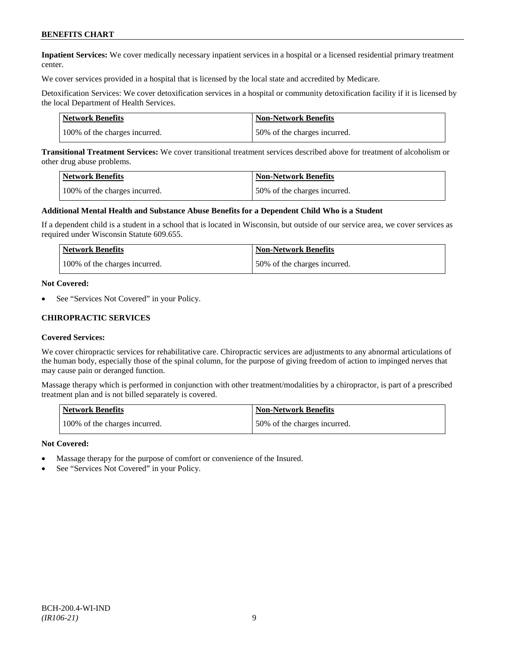**Inpatient Services:** We cover medically necessary inpatient services in a hospital or a licensed residential primary treatment center.

We cover services provided in a hospital that is licensed by the local state and accredited by Medicare.

Detoxification Services: We cover detoxification services in a hospital or community detoxification facility if it is licensed by the local Department of Health Services.

| <b>Network Benefits</b>       | <b>Non-Network Benefits</b>  |
|-------------------------------|------------------------------|
| 100% of the charges incurred. | 50% of the charges incurred. |

**Transitional Treatment Services:** We cover transitional treatment services described above for treatment of alcoholism or other drug abuse problems.

| <b>Network Benefits</b>       | <b>Non-Network Benefits</b>  |
|-------------------------------|------------------------------|
| 100% of the charges incurred. | 50% of the charges incurred. |

#### **Additional Mental Health and Substance Abuse Benefits for a Dependent Child Who is a Student**

If a dependent child is a student in a school that is located in Wisconsin, but outside of our service area, we cover services as required under Wisconsin Statute 609.655.

| <b>Network Benefits</b>       | <b>Non-Network Benefits</b>  |
|-------------------------------|------------------------------|
| 100% of the charges incurred. | 50% of the charges incurred. |

#### **Not Covered:**

See "Services Not Covered" in your Policy.

### **CHIROPRACTIC SERVICES**

#### **Covered Services:**

We cover chiropractic services for rehabilitative care. Chiropractic services are adjustments to any abnormal articulations of the human body, especially those of the spinal column, for the purpose of giving freedom of action to impinged nerves that may cause pain or deranged function.

Massage therapy which is performed in conjunction with other treatment/modalities by a chiropractor, is part of a prescribed treatment plan and is not billed separately is covered.

| <b>Network Benefits</b>       | <b>Non-Network Benefits</b>  |
|-------------------------------|------------------------------|
| 100% of the charges incurred. | 50% of the charges incurred. |

#### **Not Covered:**

- Massage therapy for the purpose of comfort or convenience of the Insured.
- See "Services Not Covered" in your Policy.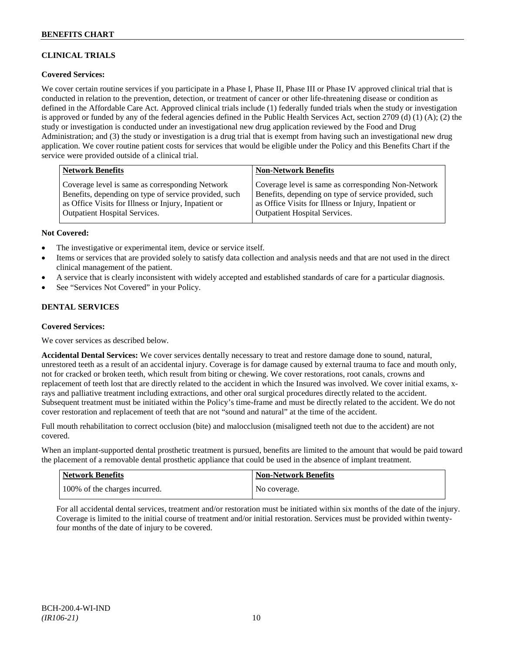## **CLINICAL TRIALS**

## **Covered Services:**

We cover certain routine services if you participate in a Phase I, Phase II, Phase III or Phase IV approved clinical trial that is conducted in relation to the prevention, detection, or treatment of cancer or other life-threatening disease or condition as defined in the Affordable Care Act. Approved clinical trials include (1) federally funded trials when the study or investigation is approved or funded by any of the federal agencies defined in the Public Health Services Act, section 2709 (d) (1) (A); (2) the study or investigation is conducted under an investigational new drug application reviewed by the Food and Drug Administration; and (3) the study or investigation is a drug trial that is exempt from having such an investigational new drug application. We cover routine patient costs for services that would be eligible under the Policy and this Benefits Chart if the service were provided outside of a clinical trial.

| <b>Network Benefits</b>                               | <b>Non-Network Benefits</b>                           |
|-------------------------------------------------------|-------------------------------------------------------|
| Coverage level is same as corresponding Network       | Coverage level is same as corresponding Non-Network   |
| Benefits, depending on type of service provided, such | Benefits, depending on type of service provided, such |
| as Office Visits for Illness or Injury, Inpatient or  | as Office Visits for Illness or Injury, Inpatient or  |
| Outpatient Hospital Services.                         | <b>Outpatient Hospital Services.</b>                  |

### **Not Covered:**

- The investigative or experimental item, device or service itself.
- Items or services that are provided solely to satisfy data collection and analysis needs and that are not used in the direct clinical management of the patient.
- A service that is clearly inconsistent with widely accepted and established standards of care for a particular diagnosis.
- See "Services Not Covered" in your Policy.

## **DENTAL SERVICES**

#### **Covered Services:**

We cover services as described below.

**Accidental Dental Services:** We cover services dentally necessary to treat and restore damage done to sound, natural, unrestored teeth as a result of an accidental injury. Coverage is for damage caused by external trauma to face and mouth only, not for cracked or broken teeth, which result from biting or chewing. We cover restorations, root canals, crowns and replacement of teeth lost that are directly related to the accident in which the Insured was involved. We cover initial exams, xrays and palliative treatment including extractions, and other oral surgical procedures directly related to the accident. Subsequent treatment must be initiated within the Policy's time-frame and must be directly related to the accident. We do not cover restoration and replacement of teeth that are not "sound and natural" at the time of the accident.

Full mouth rehabilitation to correct occlusion (bite) and malocclusion (misaligned teeth not due to the accident) are not covered.

When an implant-supported dental prosthetic treatment is pursued, benefits are limited to the amount that would be paid toward the placement of a removable dental prosthetic appliance that could be used in the absence of implant treatment.

| Network Benefits              | <b>Non-Network Benefits</b> |
|-------------------------------|-----------------------------|
| 100% of the charges incurred. | No coverage.                |

For all accidental dental services, treatment and/or restoration must be initiated within six months of the date of the injury. Coverage is limited to the initial course of treatment and/or initial restoration. Services must be provided within twentyfour months of the date of injury to be covered.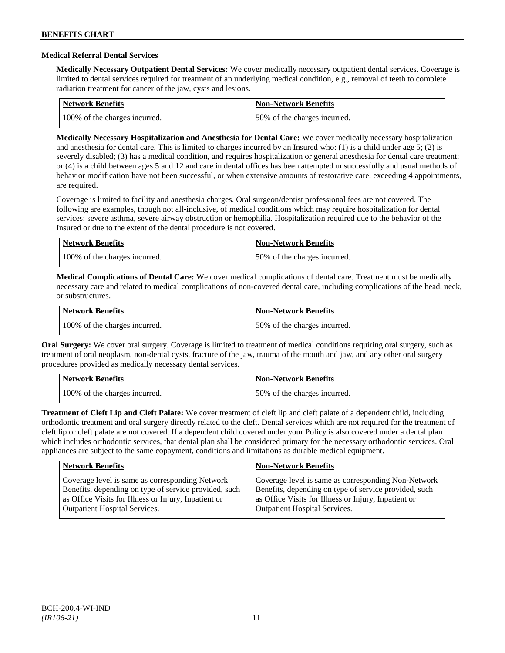### **Medical Referral Dental Services**

**Medically Necessary Outpatient Dental Services:** We cover medically necessary outpatient dental services. Coverage is limited to dental services required for treatment of an underlying medical condition, e.g., removal of teeth to complete radiation treatment for cancer of the jaw, cysts and lesions.

| Network Benefits              | <b>Non-Network Benefits</b>  |
|-------------------------------|------------------------------|
| 100% of the charges incurred. | 50% of the charges incurred. |

**Medically Necessary Hospitalization and Anesthesia for Dental Care:** We cover medically necessary hospitalization and anesthesia for dental care. This is limited to charges incurred by an Insured who: (1) is a child under age 5; (2) is severely disabled; (3) has a medical condition, and requires hospitalization or general anesthesia for dental care treatment; or (4) is a child between ages 5 and 12 and care in dental offices has been attempted unsuccessfully and usual methods of behavior modification have not been successful, or when extensive amounts of restorative care, exceeding 4 appointments, are required.

Coverage is limited to facility and anesthesia charges. Oral surgeon/dentist professional fees are not covered. The following are examples, though not all-inclusive, of medical conditions which may require hospitalization for dental services: severe asthma, severe airway obstruction or hemophilia. Hospitalization required due to the behavior of the Insured or due to the extent of the dental procedure is not covered.

| Network Benefits              | <b>Non-Network Benefits</b>  |
|-------------------------------|------------------------------|
| 100% of the charges incurred. | 50% of the charges incurred. |

**Medical Complications of Dental Care:** We cover medical complications of dental care. Treatment must be medically necessary care and related to medical complications of non-covered dental care, including complications of the head, neck, or substructures.

| Network Benefits              | <b>Non-Network Benefits</b>  |
|-------------------------------|------------------------------|
| 100% of the charges incurred. | 50% of the charges incurred. |

**Oral Surgery:** We cover oral surgery. Coverage is limited to treatment of medical conditions requiring oral surgery, such as treatment of oral neoplasm, non-dental cysts, fracture of the jaw, trauma of the mouth and jaw, and any other oral surgery procedures provided as medically necessary dental services.

| Network Benefits              | <b>Non-Network Benefits</b>  |
|-------------------------------|------------------------------|
| 100% of the charges incurred. | 50% of the charges incurred. |

**Treatment of Cleft Lip and Cleft Palate:** We cover treatment of cleft lip and cleft palate of a dependent child, including orthodontic treatment and oral surgery directly related to the cleft. Dental services which are not required for the treatment of cleft lip or cleft palate are not covered. If a dependent child covered under your Policy is also covered under a dental plan which includes orthodontic services, that dental plan shall be considered primary for the necessary orthodontic services. Oral appliances are subject to the same copayment, conditions and limitations as durable medical equipment.

| <b>Network Benefits</b>                               | <b>Non-Network Benefits</b>                           |
|-------------------------------------------------------|-------------------------------------------------------|
| Coverage level is same as corresponding Network       | Coverage level is same as corresponding Non-Network   |
| Benefits, depending on type of service provided, such | Benefits, depending on type of service provided, such |
| as Office Visits for Illness or Injury, Inpatient or  | as Office Visits for Illness or Injury, Inpatient or  |
| <b>Outpatient Hospital Services.</b>                  | Outpatient Hospital Services.                         |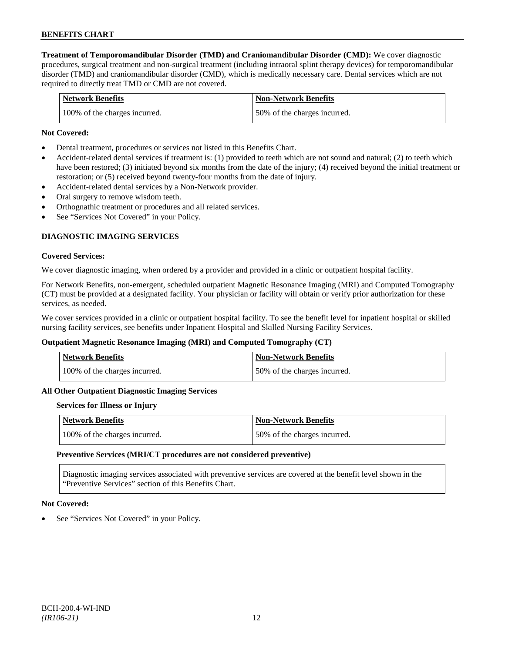**Treatment of Temporomandibular Disorder (TMD) and Craniomandibular Disorder (CMD):** We cover diagnostic procedures, surgical treatment and non-surgical treatment (including intraoral splint therapy devices) for temporomandibular disorder (TMD) and craniomandibular disorder (CMD), which is medically necessary care. Dental services which are not required to directly treat TMD or CMD are not covered.

| <b>Network Benefits</b>       | <b>Non-Network Benefits</b>   |
|-------------------------------|-------------------------------|
| 100% of the charges incurred. | 150% of the charges incurred. |

### **Not Covered:**

- Dental treatment, procedures or services not listed in this Benefits Chart.
- Accident-related dental services if treatment is: (1) provided to teeth which are not sound and natural; (2) to teeth which have been restored; (3) initiated beyond six months from the date of the injury; (4) received beyond the initial treatment or restoration; or (5) received beyond twenty-four months from the date of injury.
- Accident-related dental services by a Non-Network provider.
- Oral surgery to remove wisdom teeth.
- Orthognathic treatment or procedures and all related services.
- See "Services Not Covered" in your Policy.

## **DIAGNOSTIC IMAGING SERVICES**

#### **Covered Services:**

We cover diagnostic imaging, when ordered by a provider and provided in a clinic or outpatient hospital facility.

For Network Benefits, non-emergent, scheduled outpatient Magnetic Resonance Imaging (MRI) and Computed Tomography (CT) must be provided at a designated facility. Your physician or facility will obtain or verify prior authorization for these services, as needed.

We cover services provided in a clinic or outpatient hospital facility. To see the benefit level for inpatient hospital or skilled nursing facility services, see benefits under Inpatient Hospital and Skilled Nursing Facility Services.

#### **Outpatient Magnetic Resonance Imaging (MRI) and Computed Tomography (CT)**

| <b>Network Benefits</b>       | <b>Non-Network Benefits</b>  |
|-------------------------------|------------------------------|
| 100% of the charges incurred. | 50% of the charges incurred. |

#### **All Other Outpatient Diagnostic Imaging Services**

#### **Services for Illness or Injury**

| Network Benefits              | <b>Non-Network Benefits</b>  |
|-------------------------------|------------------------------|
| 100% of the charges incurred. | 50% of the charges incurred. |

#### **Preventive Services (MRI/CT procedures are not considered preventive)**

Diagnostic imaging services associated with preventive services are covered at the benefit level shown in the "Preventive Services" section of this Benefits Chart.

#### **Not Covered:**

See "Services Not Covered" in your Policy.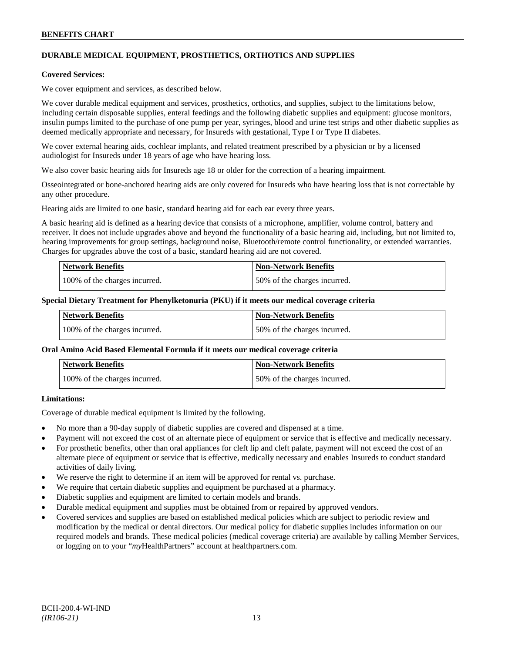## **DURABLE MEDICAL EQUIPMENT, PROSTHETICS, ORTHOTICS AND SUPPLIES**

#### **Covered Services:**

We cover equipment and services, as described below.

We cover durable medical equipment and services, prosthetics, orthotics, and supplies, subject to the limitations below, including certain disposable supplies, enteral feedings and the following diabetic supplies and equipment: glucose monitors, insulin pumps limited to the purchase of one pump per year, syringes, blood and urine test strips and other diabetic supplies as deemed medically appropriate and necessary, for Insureds with gestational, Type I or Type II diabetes.

We cover external hearing aids, cochlear implants, and related treatment prescribed by a physician or by a licensed audiologist for Insureds under 18 years of age who have hearing loss.

We also cover basic hearing aids for Insureds age 18 or older for the correction of a hearing impairment.

Osseointegrated or bone-anchored hearing aids are only covered for Insureds who have hearing loss that is not correctable by any other procedure.

Hearing aids are limited to one basic, standard hearing aid for each ear every three years.

A basic hearing aid is defined as a hearing device that consists of a microphone, amplifier, volume control, battery and receiver. It does not include upgrades above and beyond the functionality of a basic hearing aid, including, but not limited to, hearing improvements for group settings, background noise, Bluetooth/remote control functionality, or extended warranties. Charges for upgrades above the cost of a basic, standard hearing aid are not covered.

| <b>Network Benefits</b>       | <b>Non-Network Benefits</b>  |
|-------------------------------|------------------------------|
| 100% of the charges incurred. | 50% of the charges incurred. |

#### **Special Dietary Treatment for Phenylketonuria (PKU) if it meets our medical coverage criteria**

| <b>Network Benefits</b>       | Non-Network Benefits         |
|-------------------------------|------------------------------|
| 100% of the charges incurred. | 50% of the charges incurred. |

#### **Oral Amino Acid Based Elemental Formula if it meets our medical coverage criteria**

| Network Benefits              | <b>Non-Network Benefits</b>  |
|-------------------------------|------------------------------|
| 100% of the charges incurred. | 50% of the charges incurred. |

## **Limitations:**

Coverage of durable medical equipment is limited by the following.

- No more than a 90-day supply of diabetic supplies are covered and dispensed at a time.
- Payment will not exceed the cost of an alternate piece of equipment or service that is effective and medically necessary.
- For prosthetic benefits, other than oral appliances for cleft lip and cleft palate, payment will not exceed the cost of an alternate piece of equipment or service that is effective, medically necessary and enables Insureds to conduct standard activities of daily living.
- We reserve the right to determine if an item will be approved for rental vs. purchase.
- We require that certain diabetic supplies and equipment be purchased at a pharmacy.
- Diabetic supplies and equipment are limited to certain models and brands.
- Durable medical equipment and supplies must be obtained from or repaired by approved vendors.
- Covered services and supplies are based on established medical policies which are subject to periodic review and modification by the medical or dental directors. Our medical policy for diabetic supplies includes information on our required models and brands. These medical policies (medical coverage criteria) are available by calling Member Services, or logging on to your "*my*HealthPartners" account a[t healthpartners.com.](http://www.healthpartners.com/)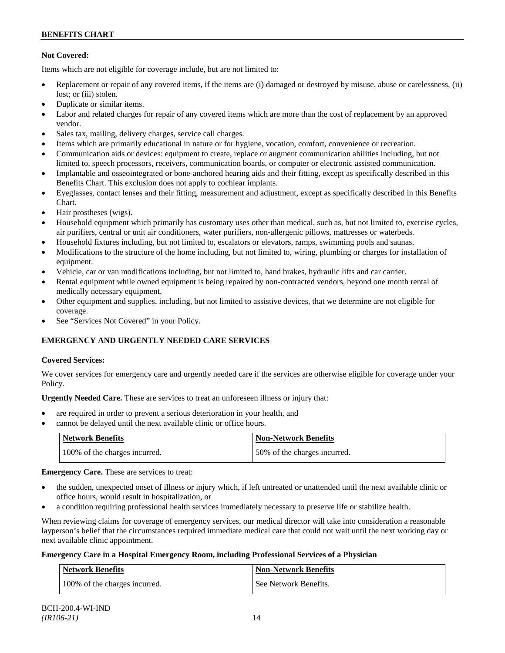## **Not Covered:**

Items which are not eligible for coverage include, but are not limited to:

- Replacement or repair of any covered items, if the items are (i) damaged or destroyed by misuse, abuse or carelessness, (ii) lost: or (iii) stolen.
- Duplicate or similar items.
- Labor and related charges for repair of any covered items which are more than the cost of replacement by an approved vendor.
- Sales tax, mailing, delivery charges, service call charges.
- Items which are primarily educational in nature or for hygiene, vocation, comfort, convenience or recreation.
- Communication aids or devices: equipment to create, replace or augment communication abilities including, but not limited to, speech processors, receivers, communication boards, or computer or electronic assisted communication.
- Implantable and osseointegrated or bone-anchored hearing aids and their fitting, except as specifically described in this Benefits Chart. This exclusion does not apply to cochlear implants.
- Eyeglasses, contact lenses and their fitting, measurement and adjustment, except as specifically described in this Benefits Chart.
- Hair prostheses (wigs).
- Household equipment which primarily has customary uses other than medical, such as, but not limited to, exercise cycles, air purifiers, central or unit air conditioners, water purifiers, non-allergenic pillows, mattresses or waterbeds.
- Household fixtures including, but not limited to, escalators or elevators, ramps, swimming pools and saunas.
- Modifications to the structure of the home including, but not limited to, wiring, plumbing or charges for installation of equipment.
- Vehicle, car or van modifications including, but not limited to, hand brakes, hydraulic lifts and car carrier.
- Rental equipment while owned equipment is being repaired by non-contracted vendors, beyond one month rental of medically necessary equipment.
- Other equipment and supplies, including, but not limited to assistive devices, that we determine are not eligible for coverage.
- See "Services Not Covered" in your Policy.

## **EMERGENCY AND URGENTLY NEEDED CARE SERVICES**

## **Covered Services:**

We cover services for emergency care and urgently needed care if the services are otherwise eligible for coverage under your Policy.

**Urgently Needed Care.** These are services to treat an unforeseen illness or injury that:

- are required in order to prevent a serious deterioration in your health, and
- cannot be delayed until the next available clinic or office hours.

| <b>Network Benefits</b>       | <b>Non-Network Benefits</b>  |
|-------------------------------|------------------------------|
| 100% of the charges incurred. | 50% of the charges incurred. |

**Emergency Care.** These are services to treat:

- the sudden, unexpected onset of illness or injury which, if left untreated or unattended until the next available clinic or office hours, would result in hospitalization, or
- a condition requiring professional health services immediately necessary to preserve life or stabilize health.

When reviewing claims for coverage of emergency services, our medical director will take into consideration a reasonable layperson's belief that the circumstances required immediate medical care that could not wait until the next working day or next available clinic appointment.

## **Emergency Care in a Hospital Emergency Room, including Professional Services of a Physician**

| <b>Network Benefits</b>       | Non-Network Benefits  |
|-------------------------------|-----------------------|
| 100% of the charges incurred. | See Network Benefits. |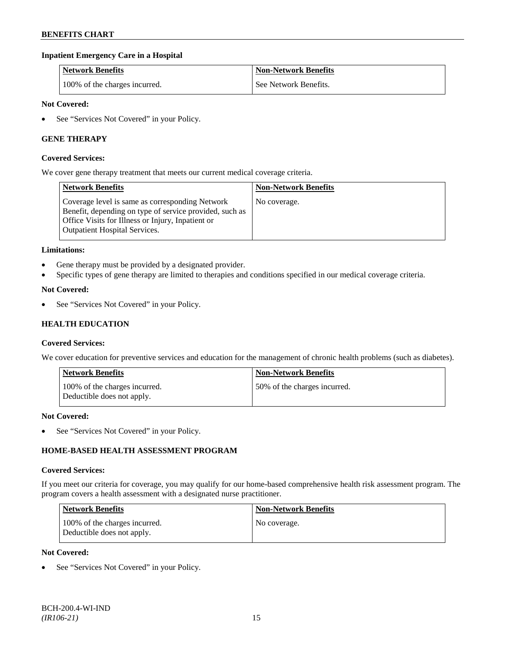## **Inpatient Emergency Care in a Hospital**

| <b>Network Benefits</b>       | <b>Non-Network Benefits</b> |
|-------------------------------|-----------------------------|
| 100% of the charges incurred. | See Network Benefits.       |

### **Not Covered:**

• See "Services Not Covered" in your Policy.

### **GENE THERAPY**

#### **Covered Services:**

We cover gene therapy treatment that meets our current medical coverage criteria.

| <b>Network Benefits</b>                                                                                                                                                                                 | <b>Non-Network Benefits</b> |
|---------------------------------------------------------------------------------------------------------------------------------------------------------------------------------------------------------|-----------------------------|
| Coverage level is same as corresponding Network<br>Benefit, depending on type of service provided, such as<br>Office Visits for Illness or Injury, Inpatient or<br><b>Outpatient Hospital Services.</b> | No coverage.                |

### **Limitations:**

- Gene therapy must be provided by a designated provider.
- Specific types of gene therapy are limited to therapies and conditions specified in our medical coverage criteria.

### **Not Covered:**

See "Services Not Covered" in your Policy.

## **HEALTH EDUCATION**

#### **Covered Services:**

We cover education for preventive services and education for the management of chronic health problems (such as diabetes).

| <b>Network Benefits</b>                                     | <b>Non-Network Benefits</b>  |
|-------------------------------------------------------------|------------------------------|
| 100% of the charges incurred.<br>Deductible does not apply. | 50% of the charges incurred. |

#### **Not Covered:**

• See "Services Not Covered" in your Policy.

## **HOME-BASED HEALTH ASSESSMENT PROGRAM**

#### **Covered Services:**

If you meet our criteria for coverage, you may qualify for our home-based comprehensive health risk assessment program. The program covers a health assessment with a designated nurse practitioner.

| Network Benefits                                            | <b>Non-Network Benefits</b> |
|-------------------------------------------------------------|-----------------------------|
| 100% of the charges incurred.<br>Deductible does not apply. | No coverage.                |

#### **Not Covered:**

See "Services Not Covered" in your Policy.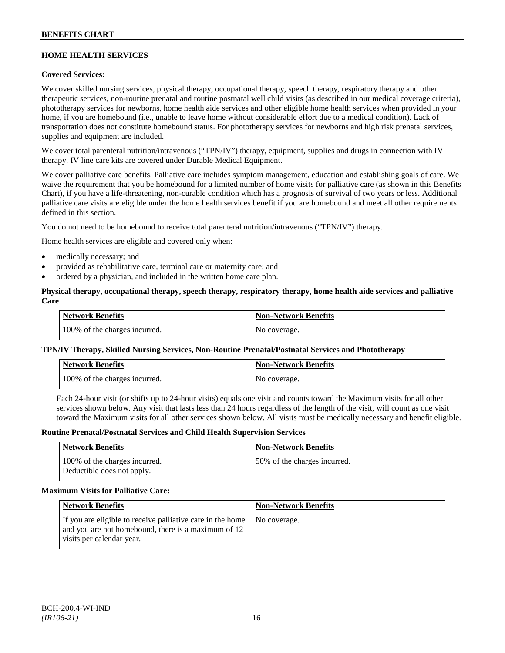## **HOME HEALTH SERVICES**

## **Covered Services:**

We cover skilled nursing services, physical therapy, occupational therapy, speech therapy, respiratory therapy and other therapeutic services, non-routine prenatal and routine postnatal well child visits (as described in our medical coverage criteria), phototherapy services for newborns, home health aide services and other eligible home health services when provided in your home, if you are homebound (i.e., unable to leave home without considerable effort due to a medical condition). Lack of transportation does not constitute homebound status. For phototherapy services for newborns and high risk prenatal services, supplies and equipment are included.

We cover total parenteral nutrition/intravenous ("TPN/IV") therapy, equipment, supplies and drugs in connection with IV therapy. IV line care kits are covered under Durable Medical Equipment.

We cover palliative care benefits. Palliative care includes symptom management, education and establishing goals of care. We waive the requirement that you be homebound for a limited number of home visits for palliative care (as shown in this Benefits Chart), if you have a life-threatening, non-curable condition which has a prognosis of survival of two years or less. Additional palliative care visits are eligible under the home health services benefit if you are homebound and meet all other requirements defined in this section.

You do not need to be homebound to receive total parenteral nutrition/intravenous ("TPN/IV") therapy.

Home health services are eligible and covered only when:

- medically necessary; and
- provided as rehabilitative care, terminal care or maternity care; and
- ordered by a physician, and included in the written home care plan.

### **Physical therapy, occupational therapy, speech therapy, respiratory therapy, home health aide services and palliative Care**

| <b>Network Benefits</b>       | <b>Non-Network Benefits</b> |
|-------------------------------|-----------------------------|
| 100% of the charges incurred. | No coverage.                |

## **TPN/IV Therapy, Skilled Nursing Services, Non-Routine Prenatal/Postnatal Services and Phototherapy**

| Network Benefits              | <b>Non-Network Benefits</b> |
|-------------------------------|-----------------------------|
| 100% of the charges incurred. | No coverage.                |

Each 24-hour visit (or shifts up to 24-hour visits) equals one visit and counts toward the Maximum visits for all other services shown below. Any visit that lasts less than 24 hours regardless of the length of the visit, will count as one visit toward the Maximum visits for all other services shown below. All visits must be medically necessary and benefit eligible.

#### **Routine Prenatal/Postnatal Services and Child Health Supervision Services**

| <b>Network Benefits</b>                                     | <b>Non-Network Benefits</b>  |
|-------------------------------------------------------------|------------------------------|
| 100% of the charges incurred.<br>Deductible does not apply. | 50% of the charges incurred. |

#### **Maximum Visits for Palliative Care:**

| <b>Network Benefits</b>                                                                                                                        | <b>Non-Network Benefits</b> |
|------------------------------------------------------------------------------------------------------------------------------------------------|-----------------------------|
| If you are eligible to receive palliative care in the home<br>and you are not homebound, there is a maximum of 12<br>visits per calendar year. | No coverage.                |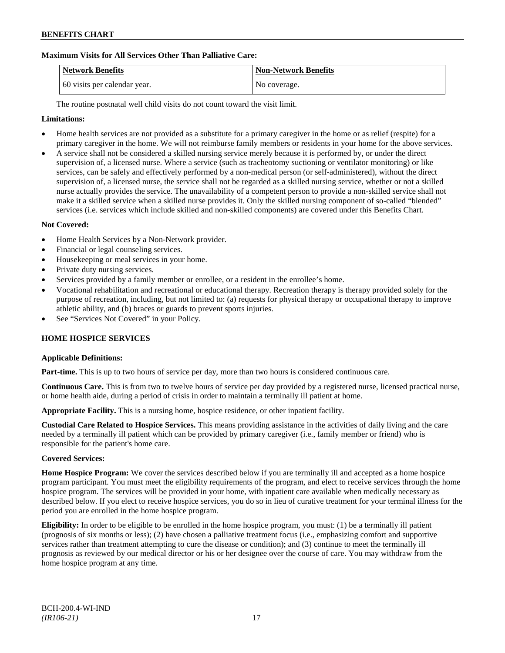## **Maximum Visits for All Services Other Than Palliative Care:**

| Network Benefits             | <b>Non-Network Benefits</b> |
|------------------------------|-----------------------------|
| 60 visits per calendar year. | No coverage.                |

The routine postnatal well child visits do not count toward the visit limit.

### **Limitations:**

- Home health services are not provided as a substitute for a primary caregiver in the home or as relief (respite) for a primary caregiver in the home. We will not reimburse family members or residents in your home for the above services.
- A service shall not be considered a skilled nursing service merely because it is performed by, or under the direct supervision of, a licensed nurse. Where a service (such as tracheotomy suctioning or ventilator monitoring) or like services, can be safely and effectively performed by a non-medical person (or self-administered), without the direct supervision of, a licensed nurse, the service shall not be regarded as a skilled nursing service, whether or not a skilled nurse actually provides the service. The unavailability of a competent person to provide a non-skilled service shall not make it a skilled service when a skilled nurse provides it. Only the skilled nursing component of so-called "blended" services (i.e. services which include skilled and non-skilled components) are covered under this Benefits Chart.

### **Not Covered:**

- Home Health Services by a Non-Network provider.
- Financial or legal counseling services.
- Housekeeping or meal services in your home.
- Private duty nursing services.
- Services provided by a family member or enrollee, or a resident in the enrollee's home.
- Vocational rehabilitation and recreational or educational therapy. Recreation therapy is therapy provided solely for the purpose of recreation, including, but not limited to: (a) requests for physical therapy or occupational therapy to improve athletic ability, and (b) braces or guards to prevent sports injuries.
- See "Services Not Covered" in your Policy.

#### **HOME HOSPICE SERVICES**

#### **Applicable Definitions:**

**Part-time.** This is up to two hours of service per day, more than two hours is considered continuous care.

**Continuous Care.** This is from two to twelve hours of service per day provided by a registered nurse, licensed practical nurse, or home health aide, during a period of crisis in order to maintain a terminally ill patient at home.

**Appropriate Facility.** This is a nursing home, hospice residence, or other inpatient facility.

**Custodial Care Related to Hospice Services.** This means providing assistance in the activities of daily living and the care needed by a terminally ill patient which can be provided by primary caregiver (i.e., family member or friend) who is responsible for the patient's home care.

#### **Covered Services:**

**Home Hospice Program:** We cover the services described below if you are terminally ill and accepted as a home hospice program participant. You must meet the eligibility requirements of the program, and elect to receive services through the home hospice program. The services will be provided in your home, with inpatient care available when medically necessary as described below. If you elect to receive hospice services, you do so in lieu of curative treatment for your terminal illness for the period you are enrolled in the home hospice program.

**Eligibility:** In order to be eligible to be enrolled in the home hospice program, you must: (1) be a terminally ill patient (prognosis of six months or less); (2) have chosen a palliative treatment focus (i.e., emphasizing comfort and supportive services rather than treatment attempting to cure the disease or condition); and (3) continue to meet the terminally ill prognosis as reviewed by our medical director or his or her designee over the course of care. You may withdraw from the home hospice program at any time.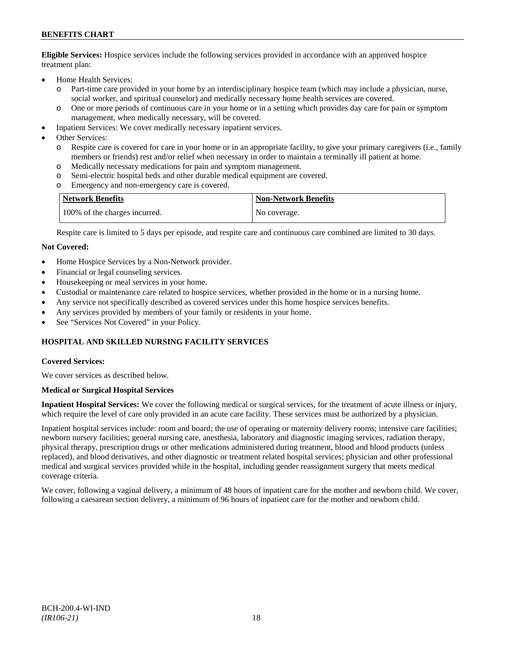**Eligible Services:** Hospice services include the following services provided in accordance with an approved hospice treatment plan:

- Home Health Services:
	- o Part-time care provided in your home by an interdisciplinary hospice team (which may include a physician, nurse, social worker, and spiritual counselor) and medically necessary home health services are covered.
	- o One or more periods of continuous care in your home or in a setting which provides day care for pain or symptom management, when medically necessary, will be covered.
- Inpatient Services: We cover medically necessary inpatient services.
- Other Services:
	- o Respite care is covered for care in your home or in an appropriate facility, to give your primary caregivers (i.e., family members or friends) rest and/or relief when necessary in order to maintain a terminally ill patient at home*.*
	- o Medically necessary medications for pain and symptom management.
	- o Semi-electric hospital beds and other durable medical equipment are covered.
	- o Emergency and non-emergency care is covered.

| <b>Network Benefits</b>       | <b>Non-Network Benefits</b> |
|-------------------------------|-----------------------------|
| 100% of the charges incurred. | No coverage.                |

Respite care is limited to 5 days per episode, and respite care and continuous care combined are limited to 30 days.

### **Not Covered:**

- Home Hospice Services by a Non-Network provider.
- Financial or legal counseling services.
- Housekeeping or meal services in your home.
- Custodial or maintenance care related to hospice services, whether provided in the home or in a nursing home.
- Any service not specifically described as covered services under this home hospice services benefits.
- Any services provided by members of your family or residents in your home.
- See "Services Not Covered" in your Policy.

## **HOSPITAL AND SKILLED NURSING FACILITY SERVICES**

#### **Covered Services:**

We cover services as described below.

#### **Medical or Surgical Hospital Services**

**Inpatient Hospital Services:** We cover the following medical or surgical services, for the treatment of acute illness or injury, which require the level of care only provided in an acute care facility. These services must be authorized by a physician.

Inpatient hospital services include: room and board; the use of operating or maternity delivery rooms; intensive care facilities; newborn nursery facilities; general nursing care, anesthesia, laboratory and diagnostic imaging services, radiation therapy, physical therapy, prescription drugs or other medications administered during treatment, blood and blood products (unless replaced), and blood derivatives, and other diagnostic or treatment related hospital services; physician and other professional medical and surgical services provided while in the hospital, including gender reassignment surgery that meets medical coverage criteria.

We cover, following a vaginal delivery, a minimum of 48 hours of inpatient care for the mother and newborn child. We cover, following a caesarean section delivery, a minimum of 96 hours of inpatient care for the mother and newborn child.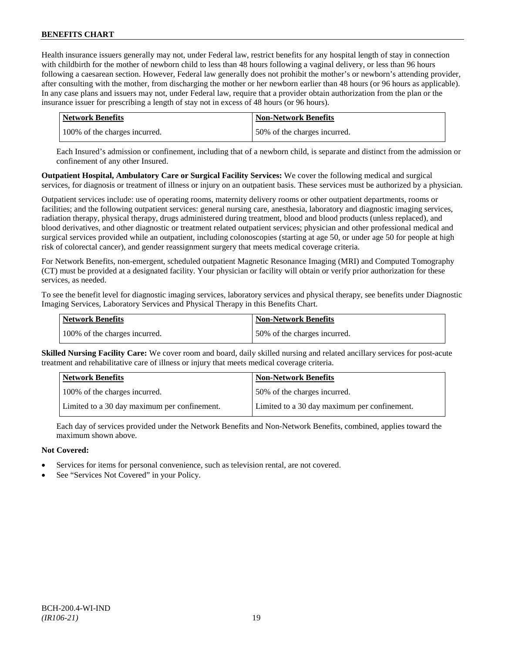Health insurance issuers generally may not, under Federal law, restrict benefits for any hospital length of stay in connection with childbirth for the mother of newborn child to less than 48 hours following a vaginal delivery, or less than 96 hours following a caesarean section. However, Federal law generally does not prohibit the mother's or newborn's attending provider, after consulting with the mother, from discharging the mother or her newborn earlier than 48 hours (or 96 hours as applicable). In any case plans and issuers may not, under Federal law, require that a provider obtain authorization from the plan or the insurance issuer for prescribing a length of stay not in excess of 48 hours (or 96 hours).

| Network Benefits              | <b>Non-Network Benefits</b>  |
|-------------------------------|------------------------------|
| 100% of the charges incurred. | 50% of the charges incurred. |

Each Insured's admission or confinement, including that of a newborn child, is separate and distinct from the admission or confinement of any other Insured.

**Outpatient Hospital, Ambulatory Care or Surgical Facility Services:** We cover the following medical and surgical services, for diagnosis or treatment of illness or injury on an outpatient basis. These services must be authorized by a physician.

Outpatient services include: use of operating rooms, maternity delivery rooms or other outpatient departments, rooms or facilities; and the following outpatient services: general nursing care, anesthesia, laboratory and diagnostic imaging services, radiation therapy, physical therapy, drugs administered during treatment, blood and blood products (unless replaced), and blood derivatives, and other diagnostic or treatment related outpatient services; physician and other professional medical and surgical services provided while an outpatient, including colonoscopies (starting at age 50, or under age 50 for people at high risk of colorectal cancer), and gender reassignment surgery that meets medical coverage criteria.

For Network Benefits, non-emergent, scheduled outpatient Magnetic Resonance Imaging (MRI) and Computed Tomography (CT) must be provided at a designated facility. Your physician or facility will obtain or verify prior authorization for these services, as needed.

To see the benefit level for diagnostic imaging services, laboratory services and physical therapy, see benefits under Diagnostic Imaging Services, Laboratory Services and Physical Therapy in this Benefits Chart.

| <b>Network Benefits</b>       | <b>Non-Network Benefits</b>  |
|-------------------------------|------------------------------|
| 100% of the charges incurred. | 50% of the charges incurred. |

**Skilled Nursing Facility Care:** We cover room and board, daily skilled nursing and related ancillary services for post-acute treatment and rehabilitative care of illness or injury that meets medical coverage criteria.

| <b>Network Benefits</b>                      | <b>Non-Network Benefits</b>                  |
|----------------------------------------------|----------------------------------------------|
| 100% of the charges incurred.                | 50% of the charges incurred.                 |
| Limited to a 30 day maximum per confinement. | Limited to a 30 day maximum per confinement. |

Each day of services provided under the Network Benefits and Non-Network Benefits, combined, applies toward the maximum shown above.

## **Not Covered:**

- Services for items for personal convenience, such as television rental, are not covered.
- See "Services Not Covered" in your Policy.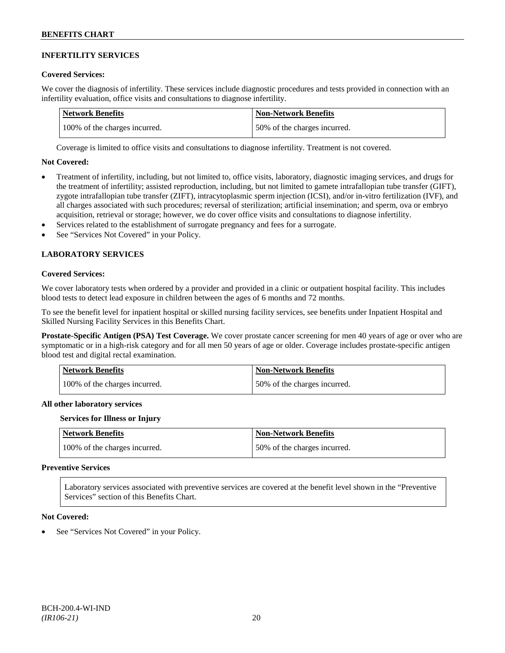## **INFERTILITY SERVICES**

#### **Covered Services:**

We cover the diagnosis of infertility. These services include diagnostic procedures and tests provided in connection with an infertility evaluation, office visits and consultations to diagnose infertility.

| Network Benefits              | <b>Non-Network Benefits</b>  |
|-------------------------------|------------------------------|
| 100% of the charges incurred. | 50% of the charges incurred. |

Coverage is limited to office visits and consultations to diagnose infertility. Treatment is not covered.

#### **Not Covered:**

- Treatment of infertility, including, but not limited to, office visits, laboratory, diagnostic imaging services, and drugs for the treatment of infertility; assisted reproduction, including, but not limited to gamete intrafallopian tube transfer (GIFT), zygote intrafallopian tube transfer (ZIFT), intracytoplasmic sperm injection (ICSI), and/or in-vitro fertilization (IVF), and all charges associated with such procedures; reversal of sterilization; artificial insemination; and sperm, ova or embryo acquisition, retrieval or storage; however, we do cover office visits and consultations to diagnose infertility.
- Services related to the establishment of surrogate pregnancy and fees for a surrogate.
- See "Services Not Covered" in your Policy.

## **LABORATORY SERVICES**

### **Covered Services:**

We cover laboratory tests when ordered by a provider and provided in a clinic or outpatient hospital facility. This includes blood tests to detect lead exposure in children between the ages of 6 months and 72 months.

To see the benefit level for inpatient hospital or skilled nursing facility services, see benefits under Inpatient Hospital and Skilled Nursing Facility Services in this Benefits Chart.

**Prostate-Specific Antigen (PSA) Test Coverage.** We cover prostate cancer screening for men 40 years of age or over who are symptomatic or in a high-risk category and for all men 50 years of age or older. Coverage includes prostate-specific antigen blood test and digital rectal examination.

| <b>Network Benefits</b>       | <b>Non-Network Benefits</b>  |
|-------------------------------|------------------------------|
| 100% of the charges incurred. | 50% of the charges incurred. |

#### **All other laboratory services**

#### **Services for Illness or Injury**

| <b>Network Benefits</b>       | <b>Non-Network Benefits</b>  |
|-------------------------------|------------------------------|
| 100% of the charges incurred. | 50% of the charges incurred. |

#### **Preventive Services**

Laboratory services associated with preventive services are covered at the benefit level shown in the "Preventive Services" section of this Benefits Chart.

#### **Not Covered:**

See "Services Not Covered" in your Policy.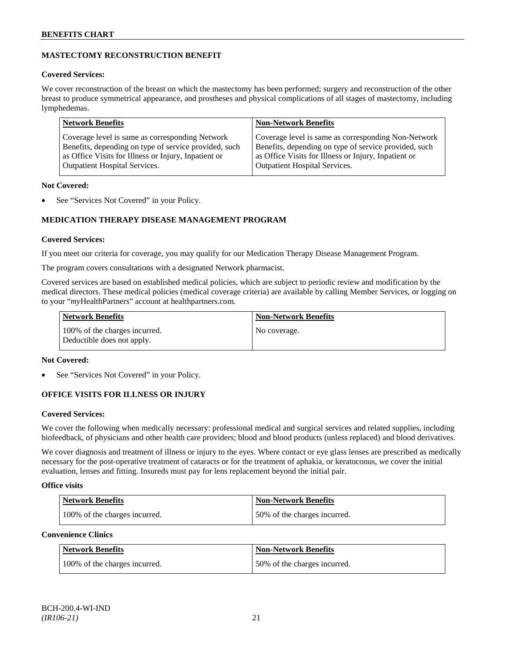## **MASTECTOMY RECONSTRUCTION BENEFIT**

## **Covered Services:**

We cover reconstruction of the breast on which the mastectomy has been performed; surgery and reconstruction of the other breast to produce symmetrical appearance, and prostheses and physical complications of all stages of mastectomy, including lymphedemas.

| Coverage level is same as corresponding Non-Network<br>Coverage level is same as corresponding Network<br>Benefits, depending on type of service provided, such<br>Benefits, depending on type of service provided, such | <b>Network Benefits</b>                              | <b>Non-Network Benefits</b>                          |
|--------------------------------------------------------------------------------------------------------------------------------------------------------------------------------------------------------------------------|------------------------------------------------------|------------------------------------------------------|
| <b>Outpatient Hospital Services.</b><br><b>Outpatient Hospital Services.</b>                                                                                                                                             | as Office Visits for Illness or Injury, Inpatient or | as Office Visits for Illness or Injury, Inpatient or |

## **Not Covered:**

See "Services Not Covered" in your Policy.

## **MEDICATION THERAPY DISEASE MANAGEMENT PROGRAM**

## **Covered Services:**

If you meet our criteria for coverage, you may qualify for our Medication Therapy Disease Management Program.

The program covers consultations with a designated Network pharmacist.

Covered services are based on established medical policies, which are subject to periodic review and modification by the medical directors. These medical policies (medical coverage criteria) are available by calling Member Services, or logging on to your "*my*HealthPartners" account at [healthpartners.com.](http://www.healthpartners.com/)

| <b>Network Benefits</b>                                     | <b>Non-Network Benefits</b> |
|-------------------------------------------------------------|-----------------------------|
| 100% of the charges incurred.<br>Deductible does not apply. | No coverage.                |

## **Not Covered:**

See "Services Not Covered" in your Policy.

## **OFFICE VISITS FOR ILLNESS OR INJURY**

#### **Covered Services:**

We cover the following when medically necessary: professional medical and surgical services and related supplies, including biofeedback, of physicians and other health care providers; blood and blood products (unless replaced) and blood derivatives.

We cover diagnosis and treatment of illness or injury to the eyes. Where contact or eye glass lenses are prescribed as medically necessary for the post-operative treatment of cataracts or for the treatment of aphakia, or keratoconus, we cover the initial evaluation, lenses and fitting. Insureds must pay for lens replacement beyond the initial pair.

## **Office visits**

| Network Benefits              | <b>Non-Network Benefits</b>  |
|-------------------------------|------------------------------|
| 100% of the charges incurred. | 50% of the charges incurred. |

#### **Convenience Clinics**

| <b>Network Benefits</b>       | <b>Non-Network Benefits</b>  |
|-------------------------------|------------------------------|
| 100% of the charges incurred. | 50% of the charges incurred. |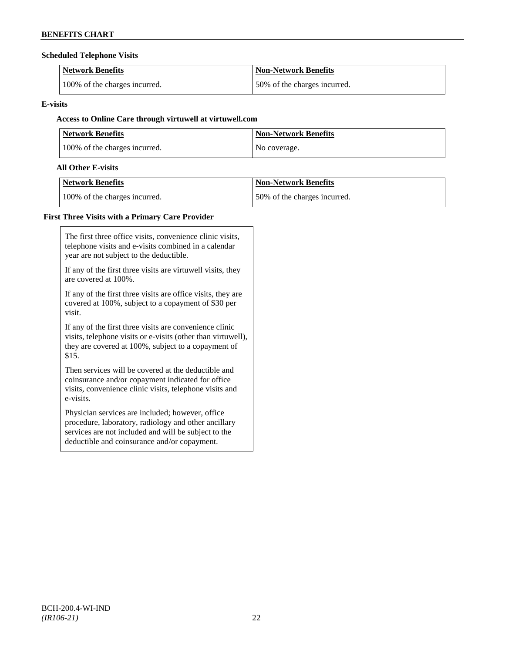## **Scheduled Telephone Visits**

| <b>Network Benefits</b>       | <b>Non-Network Benefits</b>  |
|-------------------------------|------------------------------|
| 100% of the charges incurred. | 50% of the charges incurred. |

## **E-visits**

## **Access to Online Care through virtuwell a[t virtuwell.com](http://www.virtuwell.com/)**

| <b>Network Benefits</b>       | <b>Non-Network Benefits</b> |
|-------------------------------|-----------------------------|
| 100% of the charges incurred. | No coverage.                |

## **All Other E-visits**

| Network Benefits              | <b>Non-Network Benefits</b>  |
|-------------------------------|------------------------------|
| 100% of the charges incurred. | 50% of the charges incurred. |

# **First Three Visits with a Primary Care Provider**

| The first three office visits, convenience clinic visits,<br>telephone visits and e-visits combined in a calendar<br>year are not subject to the deductible.                                                      |
|-------------------------------------------------------------------------------------------------------------------------------------------------------------------------------------------------------------------|
| If any of the first three visits are virtuwell visits, they<br>are covered at 100%.                                                                                                                               |
| If any of the first three visits are office visits, they are<br>covered at 100%, subject to a copayment of \$30 per<br>visit.                                                                                     |
| If any of the first three visits are convenience clinic<br>visits, telephone visits or e-visits (other than virtuwell),<br>they are covered at 100%, subject to a copayment of<br>\$15.                           |
| Then services will be covered at the deductible and<br>coinsurance and/or copayment indicated for office<br>visits, convenience clinic visits, telephone visits and<br>e-visits.                                  |
| Physician services are included; however, office.<br>procedure, laboratory, radiology and other ancillary<br>services are not included and will be subject to the<br>deductible and coinsurance and/or copayment. |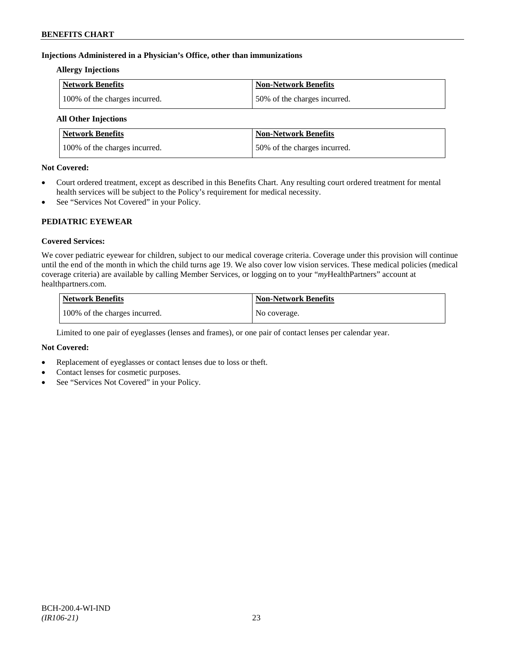## **Injections Administered in a Physician's Office, other than immunizations**

## **Allergy Injections**

| Network Benefits              | Non-Network Benefits         |
|-------------------------------|------------------------------|
| 100% of the charges incurred. | 50% of the charges incurred. |

## **All Other Injections**

| Network Benefits              | <b>Non-Network Benefits</b>  |
|-------------------------------|------------------------------|
| 100% of the charges incurred. | 50% of the charges incurred. |

## **Not Covered:**

- Court ordered treatment, except as described in this Benefits Chart. Any resulting court ordered treatment for mental health services will be subject to the Policy's requirement for medical necessity.
- See "Services Not Covered" in your Policy.

## **PEDIATRIC EYEWEAR**

## **Covered Services:**

We cover pediatric eyewear for children, subject to our medical coverage criteria. Coverage under this provision will continue until the end of the month in which the child turns age 19. We also cover low vision services. These medical policies (medical coverage criteria) are available by calling Member Services, or logging on to your "*my*HealthPartners" account at [healthpartners.com.](http://www.healthpartners.com/)

| <b>Network Benefits</b>       | <b>Non-Network Benefits</b> |
|-------------------------------|-----------------------------|
| 100% of the charges incurred. | No coverage.                |

Limited to one pair of eyeglasses (lenses and frames), or one pair of contact lenses per calendar year.

## **Not Covered:**

- Replacement of eyeglasses or contact lenses due to loss or theft.
- Contact lenses for cosmetic purposes.
- See "Services Not Covered" in your Policy.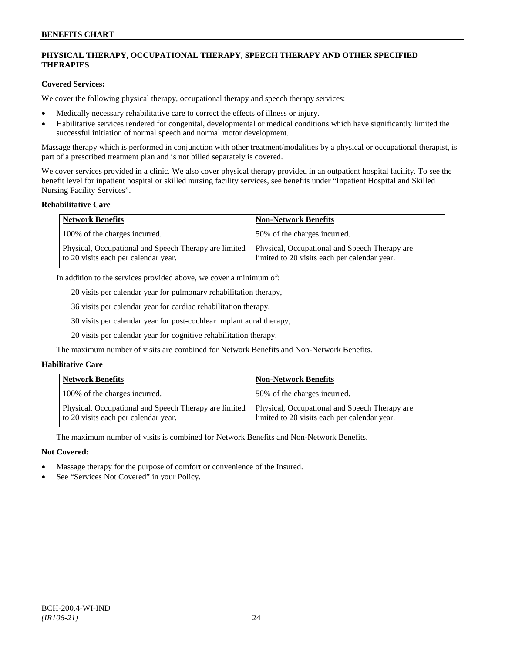## **PHYSICAL THERAPY, OCCUPATIONAL THERAPY, SPEECH THERAPY AND OTHER SPECIFIED THERAPIES**

## **Covered Services:**

We cover the following physical therapy, occupational therapy and speech therapy services:

- Medically necessary rehabilitative care to correct the effects of illness or injury.
- Habilitative services rendered for congenital, developmental or medical conditions which have significantly limited the successful initiation of normal speech and normal motor development.

Massage therapy which is performed in conjunction with other treatment/modalities by a physical or occupational therapist, is part of a prescribed treatment plan and is not billed separately is covered.

We cover services provided in a clinic. We also cover physical therapy provided in an outpatient hospital facility. To see the benefit level for inpatient hospital or skilled nursing facility services, see benefits under "Inpatient Hospital and Skilled Nursing Facility Services".

### **Rehabilitative Care**

| <b>Network Benefits</b>                                                                       | <b>Non-Network Benefits</b>                                                                   |
|-----------------------------------------------------------------------------------------------|-----------------------------------------------------------------------------------------------|
| 100% of the charges incurred.                                                                 | 50% of the charges incurred.                                                                  |
| Physical, Occupational and Speech Therapy are limited<br>to 20 visits each per calendar year. | Physical, Occupational and Speech Therapy are<br>limited to 20 visits each per calendar year. |

In addition to the services provided above, we cover a minimum of:

20 visits per calendar year for pulmonary rehabilitation therapy,

36 visits per calendar year for cardiac rehabilitation therapy,

30 visits per calendar year for post-cochlear implant aural therapy,

20 visits per calendar year for cognitive rehabilitation therapy.

The maximum number of visits are combined for Network Benefits and Non-Network Benefits.

## **Habilitative Care**

| <b>Network Benefits</b>                                                                       | <b>Non-Network Benefits</b>                                                                   |
|-----------------------------------------------------------------------------------------------|-----------------------------------------------------------------------------------------------|
| 100% of the charges incurred.                                                                 | 50% of the charges incurred.                                                                  |
| Physical, Occupational and Speech Therapy are limited<br>to 20 visits each per calendar year. | Physical, Occupational and Speech Therapy are<br>limited to 20 visits each per calendar year. |

The maximum number of visits is combined for Network Benefits and Non-Network Benefits.

## **Not Covered:**

- Massage therapy for the purpose of comfort or convenience of the Insured.
- See "Services Not Covered" in your Policy.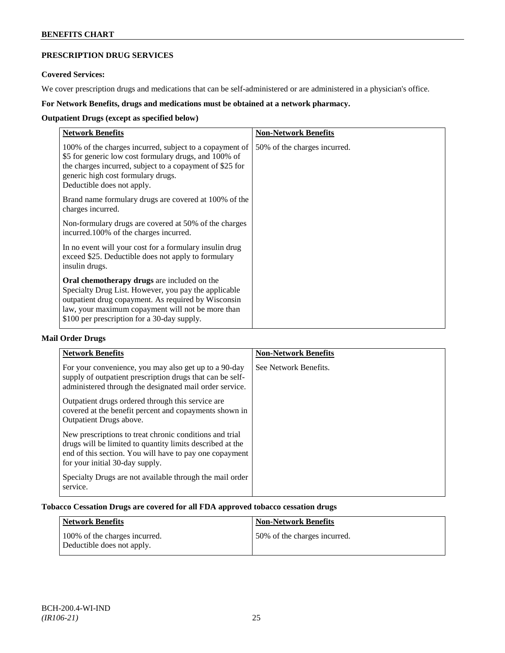## **PRESCRIPTION DRUG SERVICES**

#### **Covered Services:**

We cover prescription drugs and medications that can be self-administered or are administered in a physician's office.

## **For Network Benefits, drugs and medications must be obtained at a network pharmacy.**

## **Outpatient Drugs (except as specified below)**

| <b>Network Benefits</b>                                                                                                                                                                                                                                               | <b>Non-Network Benefits</b>  |
|-----------------------------------------------------------------------------------------------------------------------------------------------------------------------------------------------------------------------------------------------------------------------|------------------------------|
| 100% of the charges incurred, subject to a copayment of<br>\$5 for generic low cost formulary drugs, and 100% of<br>the charges incurred, subject to a copayment of \$25 for<br>generic high cost formulary drugs.<br>Deductible does not apply.                      | 50% of the charges incurred. |
| Brand name formulary drugs are covered at 100% of the<br>charges incurred.                                                                                                                                                                                            |                              |
| Non-formulary drugs are covered at 50% of the charges<br>incurred.100% of the charges incurred.                                                                                                                                                                       |                              |
| In no event will your cost for a formulary insulin drug<br>exceed \$25. Deductible does not apply to formulary<br>insulin drugs.                                                                                                                                      |                              |
| <b>Oral chemotherapy drugs</b> are included on the<br>Specialty Drug List. However, you pay the applicable<br>outpatient drug copayment. As required by Wisconsin<br>law, your maximum copayment will not be more than<br>\$100 per prescription for a 30-day supply. |                              |

## **Mail Order Drugs**

| <b>Network Benefits</b>                                                                                                                                                                                            | <b>Non-Network Benefits</b> |
|--------------------------------------------------------------------------------------------------------------------------------------------------------------------------------------------------------------------|-----------------------------|
| For your convenience, you may also get up to a 90-day<br>supply of outpatient prescription drugs that can be self-<br>administered through the designated mail order service.                                      | See Network Benefits.       |
| Outpatient drugs ordered through this service are.<br>covered at the benefit percent and copayments shown in<br>Outpatient Drugs above.                                                                            |                             |
| New prescriptions to treat chronic conditions and trial<br>drugs will be limited to quantity limits described at the<br>end of this section. You will have to pay one copayment<br>for your initial 30-day supply. |                             |
| Specialty Drugs are not available through the mail order<br>service.                                                                                                                                               |                             |

## **Tobacco Cessation Drugs are covered for all FDA approved tobacco cessation drugs**

| Network Benefits                                            | <b>Non-Network Benefits</b>  |
|-------------------------------------------------------------|------------------------------|
| 100% of the charges incurred.<br>Deductible does not apply. | 50% of the charges incurred. |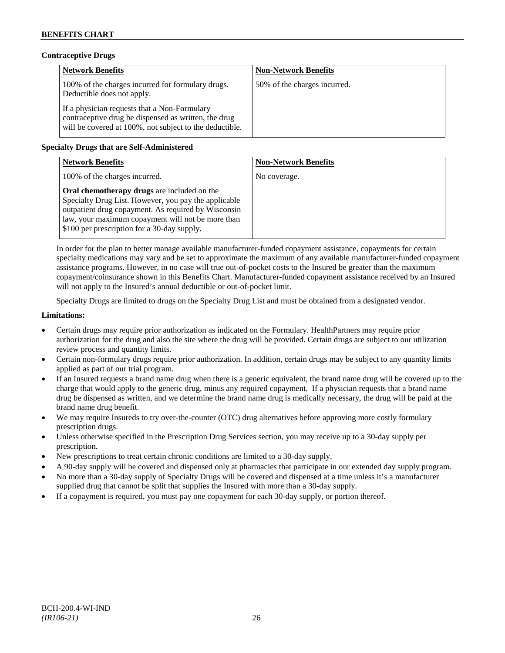## **Contraceptive Drugs**

| <b>Network Benefits</b>                                                                                                                                         | <b>Non-Network Benefits</b>  |
|-----------------------------------------------------------------------------------------------------------------------------------------------------------------|------------------------------|
| 100% of the charges incurred for formulary drugs.<br>Deductible does not apply.                                                                                 | 50% of the charges incurred. |
| If a physician requests that a Non-Formulary<br>contraceptive drug be dispensed as written, the drug<br>will be covered at 100%, not subject to the deductible. |                              |

## **Specialty Drugs that are Self-Administered**

| <b>Network Benefits</b>                                                                                                                                                                                                                                        | <b>Non-Network Benefits</b> |
|----------------------------------------------------------------------------------------------------------------------------------------------------------------------------------------------------------------------------------------------------------------|-----------------------------|
| 100% of the charges incurred.                                                                                                                                                                                                                                  | No coverage.                |
| Oral chemotherapy drugs are included on the<br>Specialty Drug List. However, you pay the applicable<br>outpatient drug copayment. As required by Wisconsin<br>law, your maximum copayment will not be more than<br>\$100 per prescription for a 30-day supply. |                             |

In order for the plan to better manage available manufacturer-funded copayment assistance, copayments for certain specialty medications may vary and be set to approximate the maximum of any available manufacturer-funded copayment assistance programs. However, in no case will true out-of-pocket costs to the Insured be greater than the maximum copayment/coinsurance shown in this Benefits Chart. Manufacturer-funded copayment assistance received by an Insured will not apply to the Insured's annual deductible or out-of-pocket limit.

Specialty Drugs are limited to drugs on the Specialty Drug List and must be obtained from a designated vendor.

## **Limitations:**

- Certain drugs may require prior authorization as indicated on the Formulary. HealthPartners may require prior authorization for the drug and also the site where the drug will be provided. Certain drugs are subject to our utilization review process and quantity limits.
- Certain non-formulary drugs require prior authorization. In addition, certain drugs may be subject to any quantity limits applied as part of our trial program.
- If an Insured requests a brand name drug when there is a generic equivalent, the brand name drug will be covered up to the charge that would apply to the generic drug, minus any required copayment. If a physician requests that a brand name drug be dispensed as written, and we determine the brand name drug is medically necessary, the drug will be paid at the brand name drug benefit.
- We may require Insureds to try over-the-counter (OTC) drug alternatives before approving more costly formulary prescription drugs.
- Unless otherwise specified in the Prescription Drug Services section, you may receive up to a 30-day supply per prescription.
- New prescriptions to treat certain chronic conditions are limited to a 30-day supply.
- A 90-day supply will be covered and dispensed only at pharmacies that participate in our extended day supply program.
- No more than a 30-day supply of Specialty Drugs will be covered and dispensed at a time unless it's a manufacturer supplied drug that cannot be split that supplies the Insured with more than a 30-day supply.
- If a copayment is required, you must pay one copayment for each 30-day supply, or portion thereof.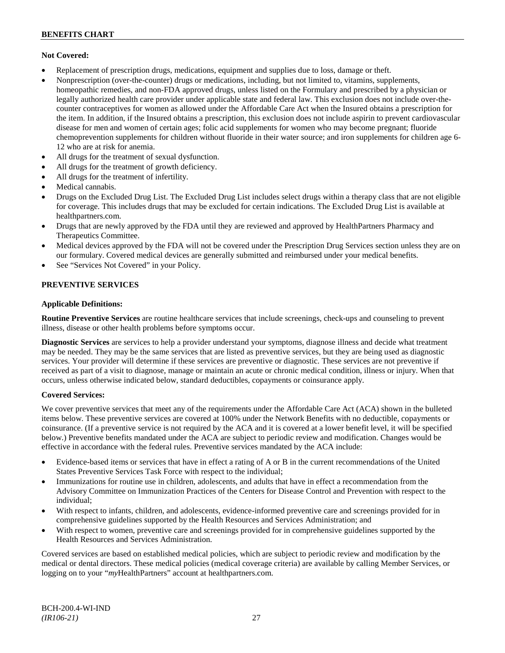### **Not Covered:**

- Replacement of prescription drugs, medications, equipment and supplies due to loss, damage or theft.
- Nonprescription (over-the-counter) drugs or medications, including, but not limited to, vitamins, supplements, homeopathic remedies, and non-FDA approved drugs, unless listed on the Formulary and prescribed by a physician or legally authorized health care provider under applicable state and federal law. This exclusion does not include over-thecounter contraceptives for women as allowed under the Affordable Care Act when the Insured obtains a prescription for the item. In addition, if the Insured obtains a prescription, this exclusion does not include aspirin to prevent cardiovascular disease for men and women of certain ages; folic acid supplements for women who may become pregnant; fluoride chemoprevention supplements for children without fluoride in their water source; and iron supplements for children age 6- 12 who are at risk for anemia.
- All drugs for the treatment of sexual dysfunction.
- All drugs for the treatment of growth deficiency.
- All drugs for the treatment of infertility.
- Medical cannabis.
- Drugs on the Excluded Drug List. The Excluded Drug List includes select drugs within a therapy class that are not eligible for coverage. This includes drugs that may be excluded for certain indications. The Excluded Drug List is available at [healthpartners.com.](http://www.healthpartners.com/)
- Drugs that are newly approved by the FDA until they are reviewed and approved by HealthPartners Pharmacy and Therapeutics Committee.
- Medical devices approved by the FDA will not be covered under the Prescription Drug Services section unless they are on our formulary. Covered medical devices are generally submitted and reimbursed under your medical benefits.
- See "Services Not Covered" in your Policy.

### **PREVENTIVE SERVICES**

### **Applicable Definitions:**

**Routine Preventive Services** are routine healthcare services that include screenings, check-ups and counseling to prevent illness, disease or other health problems before symptoms occur.

**Diagnostic Services** are services to help a provider understand your symptoms, diagnose illness and decide what treatment may be needed. They may be the same services that are listed as preventive services, but they are being used as diagnostic services. Your provider will determine if these services are preventive or diagnostic. These services are not preventive if received as part of a visit to diagnose, manage or maintain an acute or chronic medical condition, illness or injury. When that occurs, unless otherwise indicated below, standard deductibles, copayments or coinsurance apply.

#### **Covered Services:**

We cover preventive services that meet any of the requirements under the Affordable Care Act (ACA) shown in the bulleted items below. These preventive services are covered at 100% under the Network Benefits with no deductible, copayments or coinsurance. (If a preventive service is not required by the ACA and it is covered at a lower benefit level, it will be specified below.) Preventive benefits mandated under the ACA are subject to periodic review and modification. Changes would be effective in accordance with the federal rules. Preventive services mandated by the ACA include:

- Evidence-based items or services that have in effect a rating of A or B in the current recommendations of the United States Preventive Services Task Force with respect to the individual;
- Immunizations for routine use in children, adolescents, and adults that have in effect a recommendation from the Advisory Committee on Immunization Practices of the Centers for Disease Control and Prevention with respect to the individual;
- With respect to infants, children, and adolescents, evidence-informed preventive care and screenings provided for in comprehensive guidelines supported by the Health Resources and Services Administration; and
- With respect to women, preventive care and screenings provided for in comprehensive guidelines supported by the Health Resources and Services Administration.

Covered services are based on established medical policies, which are subject to periodic review and modification by the medical or dental directors. These medical policies (medical coverage criteria) are available by calling Member Services, or logging on to your "*my*HealthPartners" account at [healthpartners.com.](http://www.healthpartners.com/)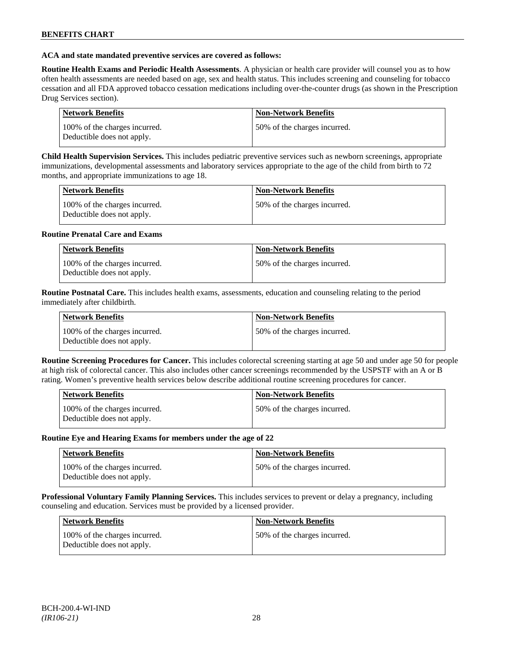### **ACA and state mandated preventive services are covered as follows:**

**Routine Health Exams and Periodic Health Assessments**. A physician or health care provider will counsel you as to how often health assessments are needed based on age, sex and health status. This includes screening and counseling for tobacco cessation and all FDA approved tobacco cessation medications including over-the-counter drugs (as shown in the Prescription Drug Services section).

| Network Benefits                                            | <b>Non-Network Benefits</b>  |
|-------------------------------------------------------------|------------------------------|
| 100% of the charges incurred.<br>Deductible does not apply. | 50% of the charges incurred. |

**Child Health Supervision Services.** This includes pediatric preventive services such as newborn screenings, appropriate immunizations, developmental assessments and laboratory services appropriate to the age of the child from birth to 72 months, and appropriate immunizations to age 18.

| <b>Network Benefits</b>                                     | <b>Non-Network Benefits</b>  |
|-------------------------------------------------------------|------------------------------|
| 100% of the charges incurred.<br>Deductible does not apply. | 50% of the charges incurred. |

### **Routine Prenatal Care and Exams**

| <b>Network Benefits</b>                                     | <b>Non-Network Benefits</b>  |
|-------------------------------------------------------------|------------------------------|
| 100% of the charges incurred.<br>Deductible does not apply. | 50% of the charges incurred. |

**Routine Postnatal Care.** This includes health exams, assessments, education and counseling relating to the period immediately after childbirth.

| <b>Network Benefits</b>                                     | <b>Non-Network Benefits</b>  |
|-------------------------------------------------------------|------------------------------|
| 100% of the charges incurred.<br>Deductible does not apply. | 50% of the charges incurred. |

**Routine Screening Procedures for Cancer.** This includes colorectal screening starting at age 50 and under age 50 for people at high risk of colorectal cancer. This also includes other cancer screenings recommended by the USPSTF with an A or B rating. Women's preventive health services below describe additional routine screening procedures for cancer.

| Network Benefits                                            | <b>Non-Network Benefits</b>  |
|-------------------------------------------------------------|------------------------------|
| 100% of the charges incurred.<br>Deductible does not apply. | 50% of the charges incurred. |

#### **Routine Eye and Hearing Exams for members under the age of 22**

| Network Benefits                                            | <b>Non-Network Benefits</b>  |
|-------------------------------------------------------------|------------------------------|
| 100% of the charges incurred.<br>Deductible does not apply. | 50% of the charges incurred. |

**Professional Voluntary Family Planning Services.** This includes services to prevent or delay a pregnancy, including counseling and education. Services must be provided by a licensed provider.

| <b>Network Benefits</b>                                     | <b>Non-Network Benefits</b>   |
|-------------------------------------------------------------|-------------------------------|
| 100% of the charges incurred.<br>Deductible does not apply. | 150% of the charges incurred. |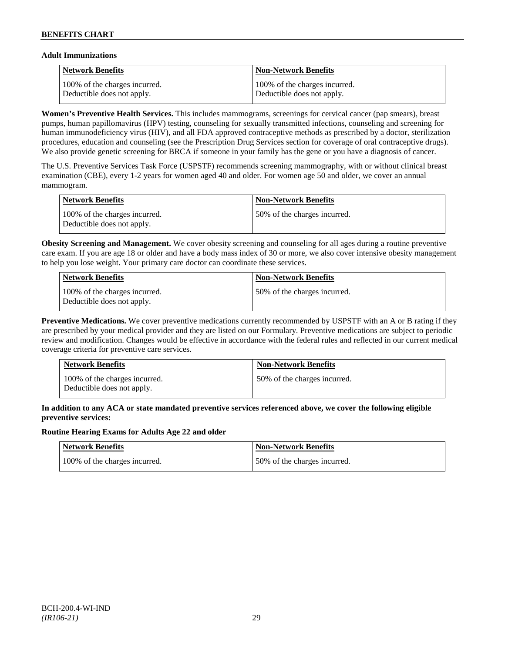## **Adult Immunizations**

| <b>Network Benefits</b>       | <b>Non-Network Benefits</b>    |
|-------------------------------|--------------------------------|
| 100% of the charges incurred. | 100\% of the charges incurred. |
| Deductible does not apply.    | Deductible does not apply.     |

**Women's Preventive Health Services.** This includes mammograms, screenings for cervical cancer (pap smears), breast pumps, human papillomavirus (HPV) testing, counseling for sexually transmitted infections, counseling and screening for human immunodeficiency virus (HIV), and all FDA approved contraceptive methods as prescribed by a doctor, sterilization procedures, education and counseling (see the Prescription Drug Services section for coverage of oral contraceptive drugs). We also provide genetic screening for BRCA if someone in your family has the gene or you have a diagnosis of cancer.

The U.S. Preventive Services Task Force (USPSTF) recommends screening mammography, with or without clinical breast examination (CBE), every 1-2 years for women aged 40 and older. For women age 50 and older, we cover an annual mammogram.

| Network Benefits                                            | Non-Network Benefits         |
|-------------------------------------------------------------|------------------------------|
| 100% of the charges incurred.<br>Deductible does not apply. | 50% of the charges incurred. |

**Obesity Screening and Management.** We cover obesity screening and counseling for all ages during a routine preventive care exam. If you are age 18 or older and have a body mass index of 30 or more, we also cover intensive obesity management to help you lose weight. Your primary care doctor can coordinate these services.

| Network Benefits                                            | <b>Non-Network Benefits</b>  |
|-------------------------------------------------------------|------------------------------|
| 100% of the charges incurred.<br>Deductible does not apply. | 50% of the charges incurred. |

**Preventive Medications.** We cover preventive medications currently recommended by USPSTF with an A or B rating if they are prescribed by your medical provider and they are listed on our Formulary. Preventive medications are subject to periodic review and modification. Changes would be effective in accordance with the federal rules and reflected in our current medical coverage criteria for preventive care services.

| <b>Network Benefits</b>                                     | <b>Non-Network Benefits</b>  |
|-------------------------------------------------------------|------------------------------|
| 100% of the charges incurred.<br>Deductible does not apply. | 50% of the charges incurred. |

## **In addition to any ACA or state mandated preventive services referenced above, we cover the following eligible preventive services:**

## **Routine Hearing Exams for Adults Age 22 and older**

| Network Benefits              | <b>Non-Network Benefits</b>  |
|-------------------------------|------------------------------|
| 100% of the charges incurred. | 50% of the charges incurred. |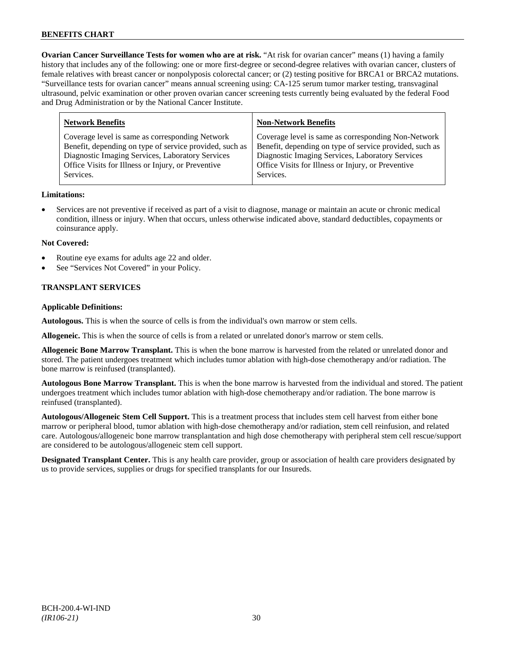**Ovarian Cancer Surveillance Tests for women who are at risk.** "At risk for ovarian cancer" means (1) having a family history that includes any of the following: one or more first-degree or second-degree relatives with ovarian cancer, clusters of female relatives with breast cancer or nonpolyposis colorectal cancer; or (2) testing positive for BRCA1 or BRCA2 mutations. "Surveillance tests for ovarian cancer" means annual screening using: CA-125 serum tumor marker testing, transvaginal ultrasound, pelvic examination or other proven ovarian cancer screening tests currently being evaluated by the federal Food and Drug Administration or by the National Cancer Institute.

| <b>Non-Network Benefits</b>                             |
|---------------------------------------------------------|
| Coverage level is same as corresponding Non-Network     |
| Benefit, depending on type of service provided, such as |
| Diagnostic Imaging Services, Laboratory Services        |
| Office Visits for Illness or Injury, or Preventive      |
|                                                         |
|                                                         |

## **Limitations:**

• Services are not preventive if received as part of a visit to diagnose, manage or maintain an acute or chronic medical condition, illness or injury. When that occurs, unless otherwise indicated above, standard deductibles, copayments or coinsurance apply.

### **Not Covered:**

- Routine eye exams for adults age 22 and older.
- See "Services Not Covered" in your Policy.

## **TRANSPLANT SERVICES**

### **Applicable Definitions:**

**Autologous.** This is when the source of cells is from the individual's own marrow or stem cells.

**Allogeneic.** This is when the source of cells is from a related or unrelated donor's marrow or stem cells.

**Allogeneic Bone Marrow Transplant.** This is when the bone marrow is harvested from the related or unrelated donor and stored. The patient undergoes treatment which includes tumor ablation with high-dose chemotherapy and/or radiation. The bone marrow is reinfused (transplanted).

**Autologous Bone Marrow Transplant.** This is when the bone marrow is harvested from the individual and stored. The patient undergoes treatment which includes tumor ablation with high-dose chemotherapy and/or radiation. The bone marrow is reinfused (transplanted).

**Autologous/Allogeneic Stem Cell Support.** This is a treatment process that includes stem cell harvest from either bone marrow or peripheral blood, tumor ablation with high-dose chemotherapy and/or radiation, stem cell reinfusion, and related care. Autologous/allogeneic bone marrow transplantation and high dose chemotherapy with peripheral stem cell rescue/support are considered to be autologous/allogeneic stem cell support.

**Designated Transplant Center.** This is any health care provider, group or association of health care providers designated by us to provide services, supplies or drugs for specified transplants for our Insureds.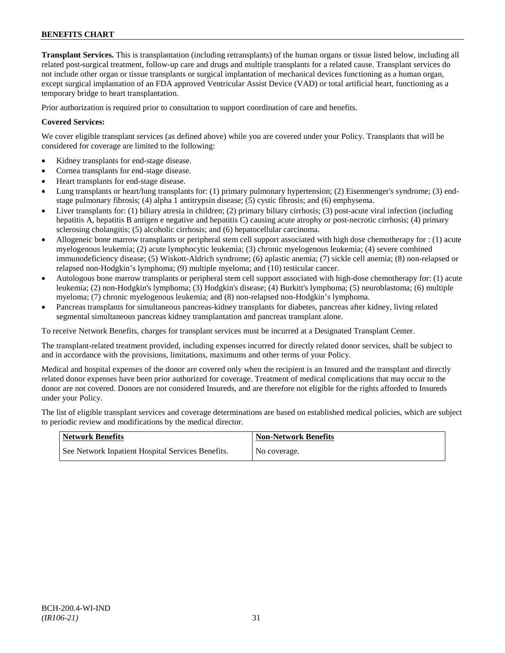**Transplant Services.** This is transplantation (including retransplants) of the human organs or tissue listed below, including all related post-surgical treatment, follow-up care and drugs and multiple transplants for a related cause. Transplant services do not include other organ or tissue transplants or surgical implantation of mechanical devices functioning as a human organ, except surgical implantation of an FDA approved Ventricular Assist Device (VAD) or total artificial heart, functioning as a temporary bridge to heart transplantation.

Prior authorization is required prior to consultation to support coordination of care and benefits.

## **Covered Services:**

We cover eligible transplant services (as defined above) while you are covered under your Policy. Transplants that will be considered for coverage are limited to the following:

- Kidney transplants for end-stage disease.
- Cornea transplants for end-stage disease.
- Heart transplants for end-stage disease.
- Lung transplants or heart/lung transplants for: (1) primary pulmonary hypertension; (2) Eisenmenger's syndrome; (3) endstage pulmonary fibrosis; (4) alpha 1 antitrypsin disease; (5) cystic fibrosis; and (6) emphysema.
- Liver transplants for: (1) biliary atresia in children; (2) primary biliary cirrhosis; (3) post-acute viral infection (including hepatitis A, hepatitis B antigen e negative and hepatitis C) causing acute atrophy or post-necrotic cirrhosis; (4) primary sclerosing cholangitis; (5) alcoholic cirrhosis; and (6) hepatocellular carcinoma.
- Allogeneic bone marrow transplants or peripheral stem cell support associated with high dose chemotherapy for : (1) acute myelogenous leukemia; (2) acute lymphocytic leukemia; (3) chronic myelogenous leukemia; (4) severe combined immunodeficiency disease; (5) Wiskott-Aldrich syndrome; (6) aplastic anemia; (7) sickle cell anemia; (8) non-relapsed or relapsed non-Hodgkin's lymphoma; (9) multiple myeloma; and (10) testicular cancer.
- Autologous bone marrow transplants or peripheral stem cell support associated with high-dose chemotherapy for: (1) acute leukemia; (2) non-Hodgkin's lymphoma; (3) Hodgkin's disease; (4) Burkitt's lymphoma; (5) neuroblastoma; (6) multiple myeloma; (7) chronic myelogenous leukemia; and (8) non-relapsed non-Hodgkin's lymphoma.
- Pancreas transplants for simultaneous pancreas-kidney transplants for diabetes, pancreas after kidney, living related segmental simultaneous pancreas kidney transplantation and pancreas transplant alone.

To receive Network Benefits, charges for transplant services must be incurred at a Designated Transplant Center.

The transplant-related treatment provided, including expenses incurred for directly related donor services, shall be subject to and in accordance with the provisions, limitations, maximums and other terms of your Policy.

Medical and hospital expenses of the donor are covered only when the recipient is an Insured and the transplant and directly related donor expenses have been prior authorized for coverage. Treatment of medical complications that may occur to the donor are not covered. Donors are not considered Insureds, and are therefore not eligible for the rights afforded to Insureds under your Policy.

The list of eligible transplant services and coverage determinations are based on established medical policies, which are subject to periodic review and modifications by the medical director.

| <b>Network Benefits</b>                           | <b>Non-Network Benefits</b> |
|---------------------------------------------------|-----------------------------|
| See Network Inpatient Hospital Services Benefits. | No coverage.                |